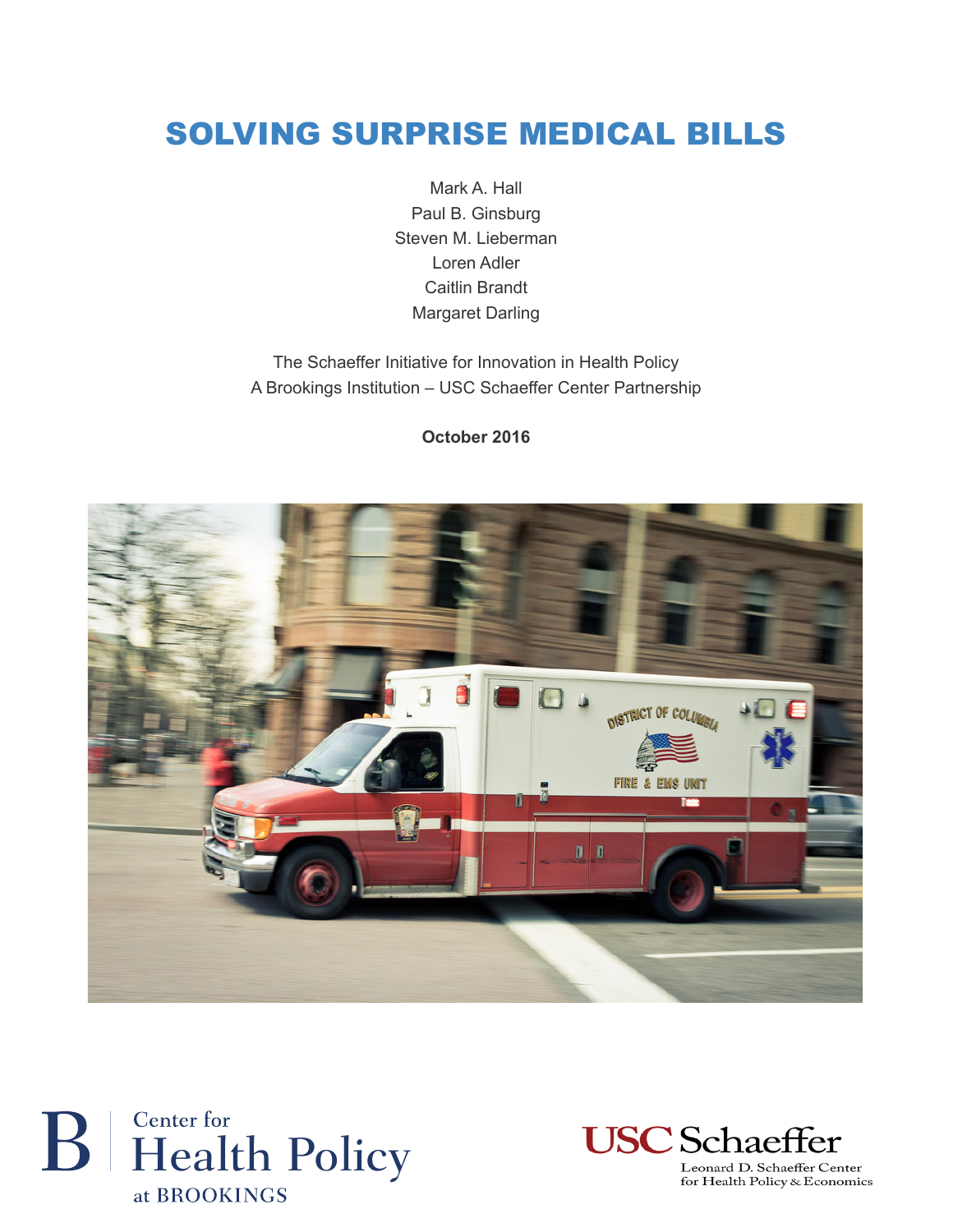### SOLVING SURPRISE MEDICAL BILLS

Mark A. Hall Paul B. Ginsburg Steven M. Lieberman Loren Adler Caitlin Brandt Margaret Darling

The Schaeffer Initiative for Innovation in Health Policy A Brookings Institution – USC Schaeffer Center Partnership

**October 2016**







for Health Policy & Economics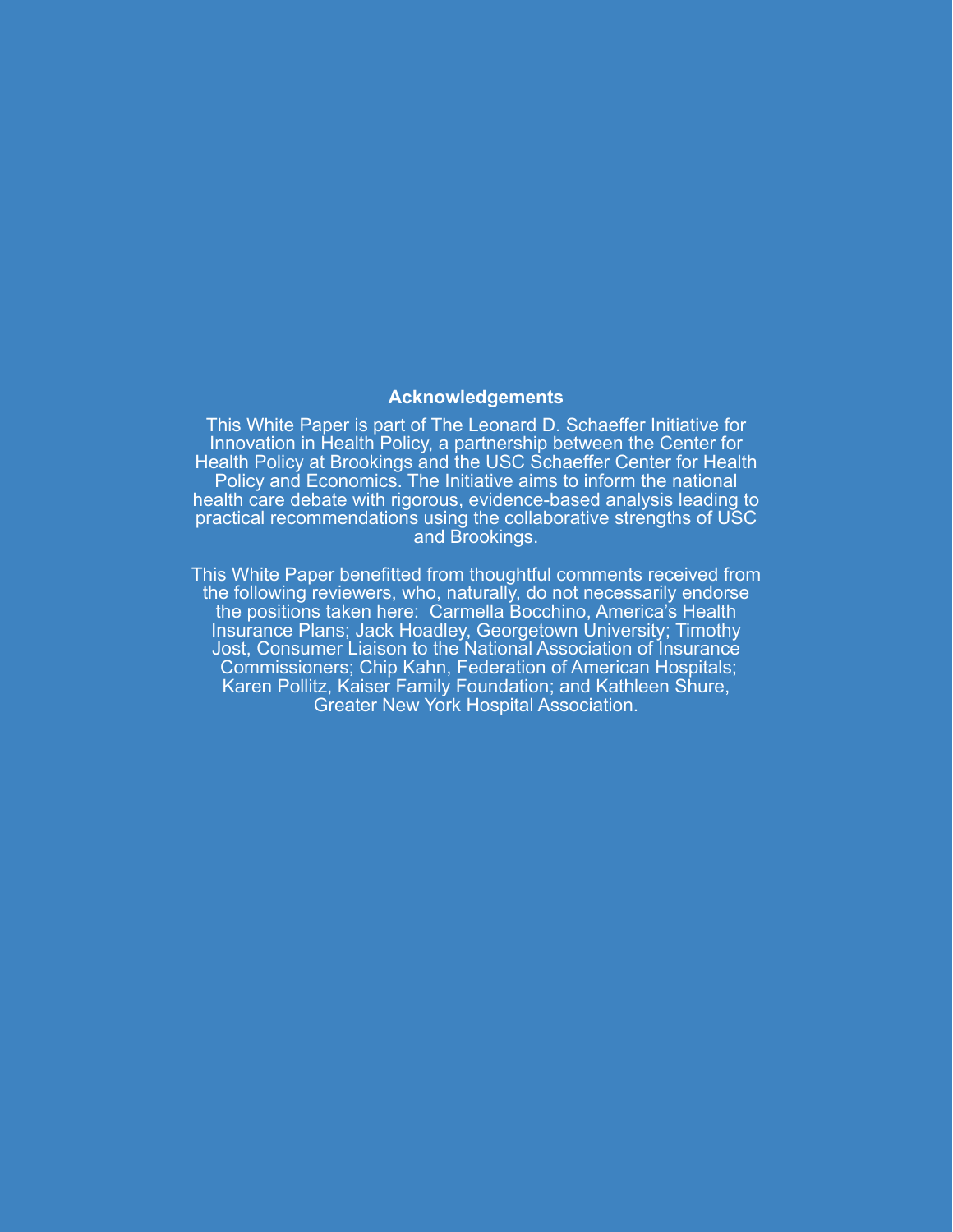#### **Acknowledgements**

This White Paper is part of The Leonard D. Schaeffer Initiative for Innovation in Health Policy, a partnership between the Center for Health Policy at Brookings and the USC Schaeffer Center for Health Policy and Economics. The Initiative aims to inform the national health care debate with rigorous, evidence-based analysis leading to practical recommendations using the collaborative strengths of USC and Brookings.

This White Paper benefitted from thoughtful comments received from the following reviewers, who, naturally, do not necessarily endorse the positions taken here: Carmella Bocchino, America's Health Insurance Plans; Jack Hoadley, Georgetown University; Timothy Jost, Consumer Liaison to the National Association of Insurance Commissioners; Chip Kahn, Federation of American Hospitals; Karen Pollitz, Kaiser Family Foundation; and Kathleen Shure, Greater New York Hospital Association.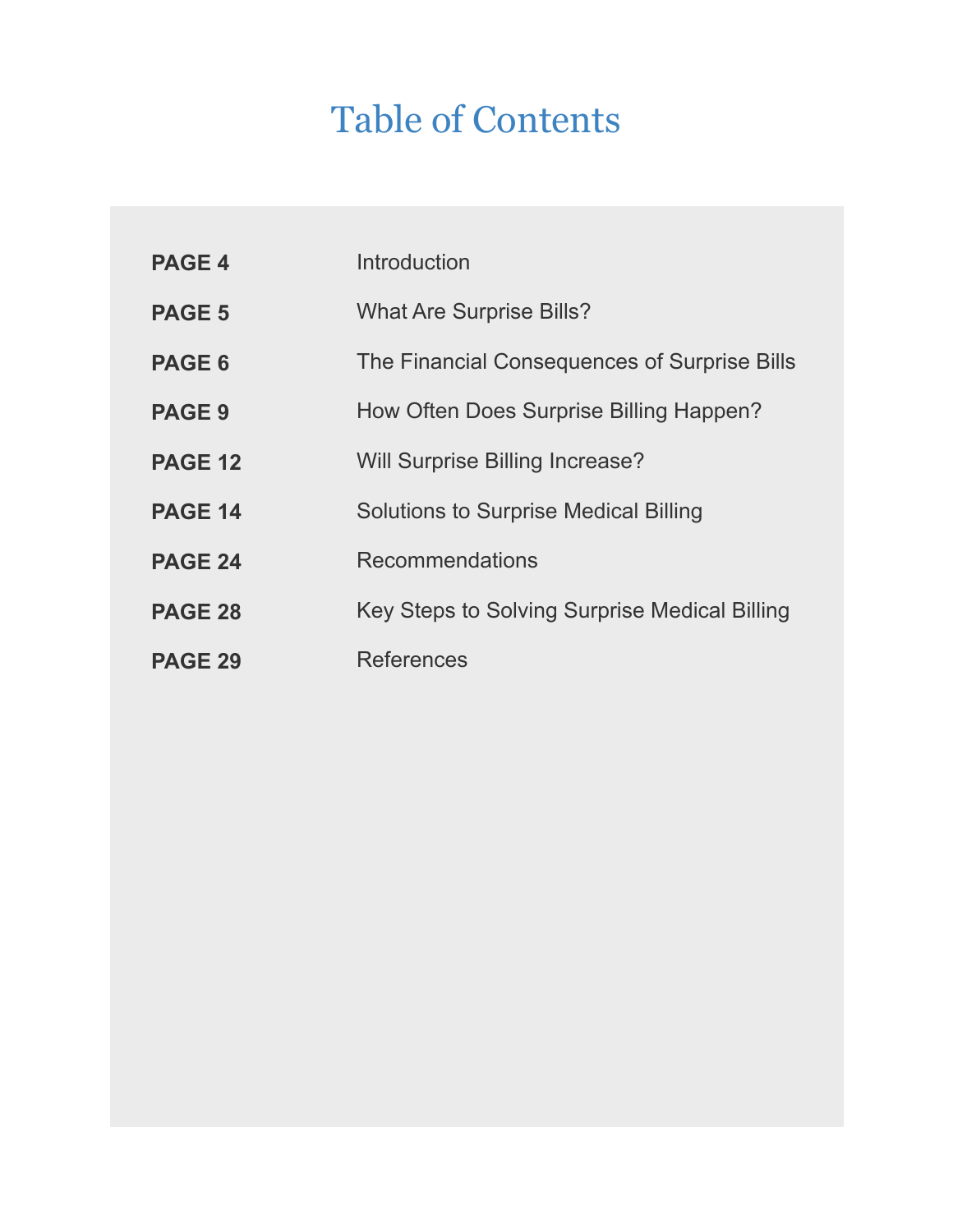# Table of Contents

| <b>PAGE 4</b>  | Introduction                                  |
|----------------|-----------------------------------------------|
| <b>PAGE 5</b>  | <b>What Are Surprise Bills?</b>               |
| PAGE 6         | The Financial Consequences of Surprise Bills  |
| <b>PAGE 9</b>  | How Often Does Surprise Billing Happen?       |
| <b>PAGE 12</b> | Will Surprise Billing Increase?               |
| <b>PAGE 14</b> | <b>Solutions to Surprise Medical Billing</b>  |
| <b>PAGE 24</b> | <b>Recommendations</b>                        |
| <b>PAGE 28</b> | Key Steps to Solving Surprise Medical Billing |
| <b>PAGE 29</b> | <b>References</b>                             |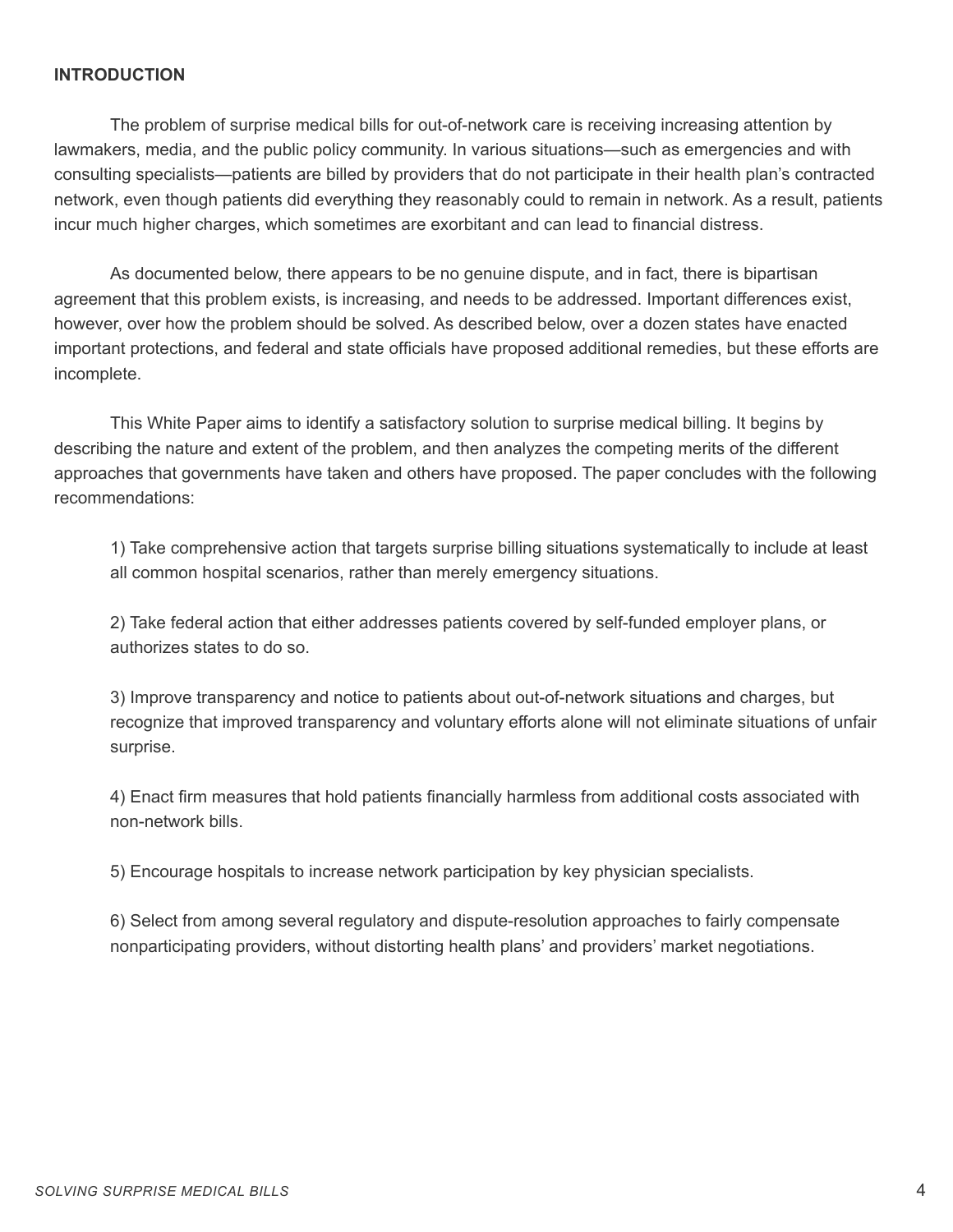#### **INTRODUCTION**

The problem of surprise medical bills for out-of-network care is receiving increasing attention by lawmakers, media, and the public policy community. In various situations—such as emergencies and with consulting specialists—patients are billed by providers that do not participate in their health plan's contracted network, even though patients did everything they reasonably could to remain in network. As a result, patients incur much higher charges, which sometimes are exorbitant and can lead to financial distress.

As documented below, there appears to be no genuine dispute, and in fact, there is bipartisan agreement that this problem exists, is increasing, and needs to be addressed. Important differences exist, however, over how the problem should be solved. As described below, over a dozen states have enacted important protections, and federal and state officials have proposed additional remedies, but these efforts are incomplete.

This White Paper aims to identify a satisfactory solution to surprise medical billing. It begins by describing the nature and extent of the problem, and then analyzes the competing merits of the different approaches that governments have taken and others have proposed. The paper concludes with the following recommendations:

1) Take comprehensive action that targets surprise billing situations systematically to include at least all common hospital scenarios, rather than merely emergency situations.

2) Take federal action that either addresses patients covered by self-funded employer plans, or authorizes states to do so.

3) Improve transparency and notice to patients about out-of-network situations and charges, but recognize that improved transparency and voluntary efforts alone will not eliminate situations of unfair surprise.

4) Enact firm measures that hold patients financially harmless from additional costs associated with non-network bills.

5) Encourage hospitals to increase network participation by key physician specialists.

6) Select from among several regulatory and dispute-resolution approaches to fairly compensate nonparticipating providers, without distorting health plans' and providers' market negotiations.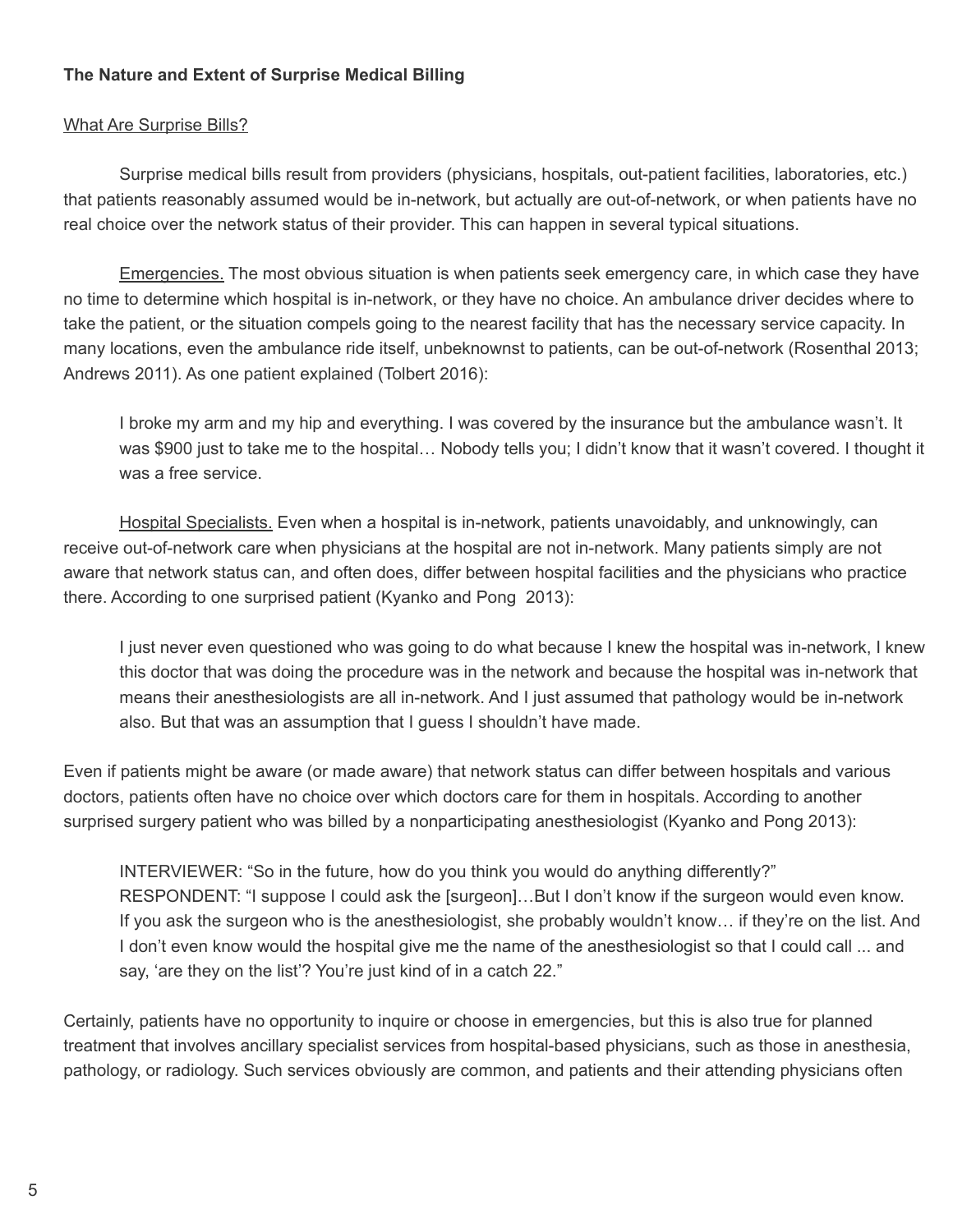#### **The Nature and Extent of Surprise Medical Billing**

#### What Are Surprise Bills?

Surprise medical bills result from providers (physicians, hospitals, out-patient facilities, laboratories, etc.) that patients reasonably assumed would be in-network, but actually are out-of-network, or when patients have no real choice over the network status of their provider. This can happen in several typical situations.

Emergencies. The most obvious situation is when patients seek emergency care, in which case they have no time to determine which hospital is in-network, or they have no choice. An ambulance driver decides where to take the patient, or the situation compels going to the nearest facility that has the necessary service capacity. In many locations, even the ambulance ride itself, unbeknownst to patients, can be out-of-network (Rosenthal 2013; Andrews 2011). As one patient explained (Tolbert 2016):

I broke my arm and my hip and everything. I was covered by the insurance but the ambulance wasn't. It was \$900 just to take me to the hospital… Nobody tells you; I didn't know that it wasn't covered. I thought it was a free service.

Hospital Specialists. Even when a hospital is in-network, patients unavoidably, and unknowingly, can receive out-of-network care when physicians at the hospital are not in-network. Many patients simply are not aware that network status can, and often does, differ between hospital facilities and the physicians who practice there. According to one surprised patient (Kyanko and Pong 2013):

I just never even questioned who was going to do what because I knew the hospital was in-network, I knew this doctor that was doing the procedure was in the network and because the hospital was in-network that means their anesthesiologists are all in-network. And I just assumed that pathology would be in-network also. But that was an assumption that I guess I shouldn't have made.

Even if patients might be aware (or made aware) that network status can differ between hospitals and various doctors, patients often have no choice over which doctors care for them in hospitals. According to another surprised surgery patient who was billed by a nonparticipating anesthesiologist (Kyanko and Pong 2013):

INTERVIEWER: "So in the future, how do you think you would do anything differently?" RESPONDENT: "I suppose I could ask the [surgeon]…But I don't know if the surgeon would even know. If you ask the surgeon who is the anesthesiologist, she probably wouldn't know… if they're on the list. And I don't even know would the hospital give me the name of the anesthesiologist so that I could call ... and say, 'are they on the list'? You're just kind of in a catch 22."

Certainly, patients have no opportunity to inquire or choose in emergencies, but this is also true for planned treatment that involves ancillary specialist services from hospital-based physicians, such as those in anesthesia, pathology, or radiology. Such services obviously are common, and patients and their attending physicians often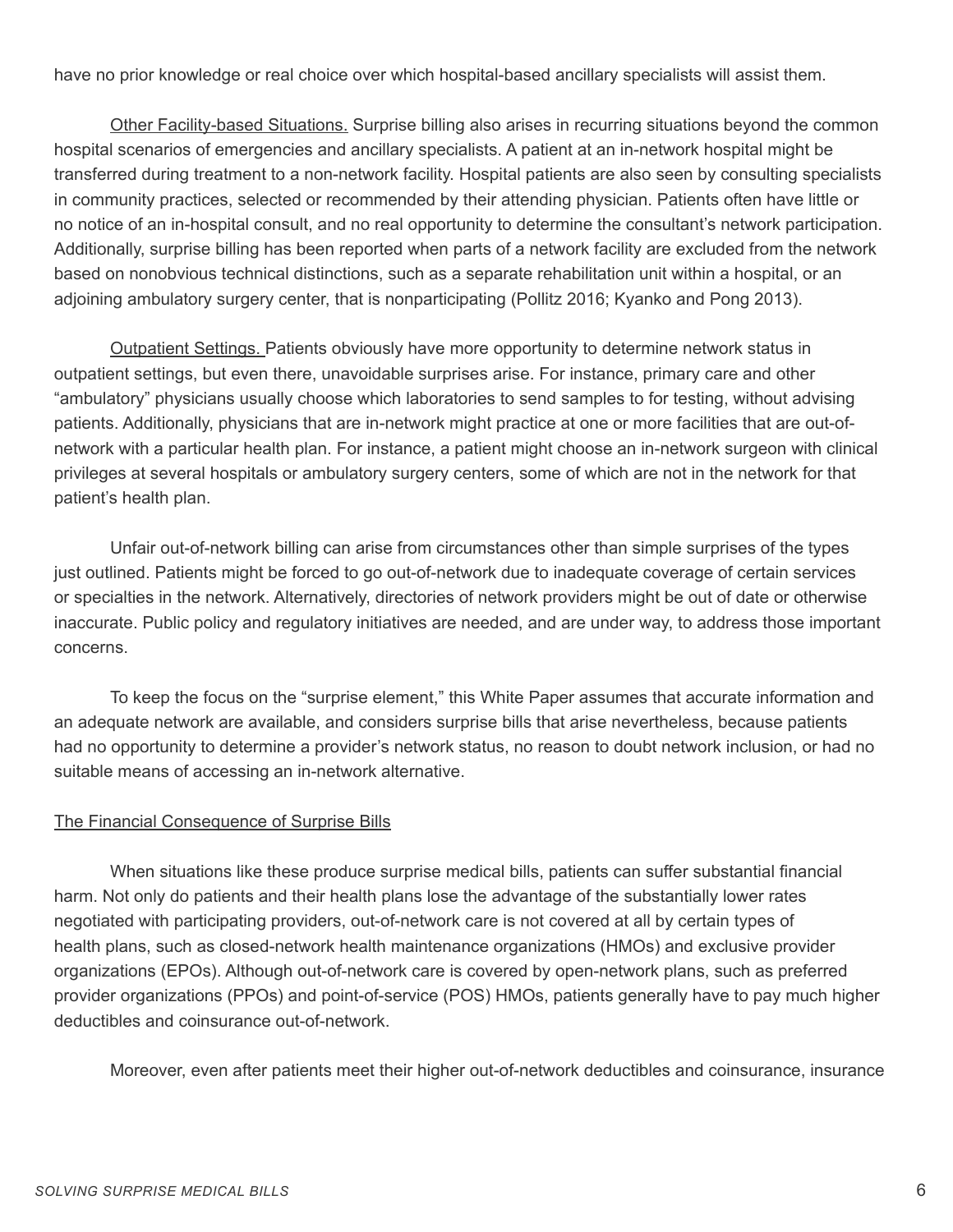have no prior knowledge or real choice over which hospital-based ancillary specialists will assist them.

Other Facility-based Situations. Surprise billing also arises in recurring situations beyond the common hospital scenarios of emergencies and ancillary specialists. A patient at an in-network hospital might be transferred during treatment to a non-network facility. Hospital patients are also seen by consulting specialists in community practices, selected or recommended by their attending physician. Patients often have little or no notice of an in-hospital consult, and no real opportunity to determine the consultant's network participation. Additionally, surprise billing has been reported when parts of a network facility are excluded from the network based on nonobvious technical distinctions, such as a separate rehabilitation unit within a hospital, or an adjoining ambulatory surgery center, that is nonparticipating (Pollitz 2016; Kyanko and Pong 2013).

Outpatient Settings. Patients obviously have more opportunity to determine network status in outpatient settings, but even there, unavoidable surprises arise. For instance, primary care and other "ambulatory" physicians usually choose which laboratories to send samples to for testing, without advising patients. Additionally, physicians that are in-network might practice at one or more facilities that are out-ofnetwork with a particular health plan. For instance, a patient might choose an in-network surgeon with clinical privileges at several hospitals or ambulatory surgery centers, some of which are not in the network for that patient's health plan.

Unfair out-of-network billing can arise from circumstances other than simple surprises of the types just outlined. Patients might be forced to go out-of-network due to inadequate coverage of certain services or specialties in the network. Alternatively, directories of network providers might be out of date or otherwise inaccurate. Public policy and regulatory initiatives are needed, and are under way, to address those important concerns.

To keep the focus on the "surprise element," this White Paper assumes that accurate information and an adequate network are available, and considers surprise bills that arise nevertheless, because patients had no opportunity to determine a provider's network status, no reason to doubt network inclusion, or had no suitable means of accessing an in-network alternative.

#### The Financial Consequence of Surprise Bills

When situations like these produce surprise medical bills, patients can suffer substantial financial harm. Not only do patients and their health plans lose the advantage of the substantially lower rates negotiated with participating providers, out-of-network care is not covered at all by certain types of health plans, such as closed-network health maintenance organizations (HMOs) and exclusive provider organizations (EPOs). Although out-of-network care is covered by open-network plans, such as preferred provider organizations (PPOs) and point-of-service (POS) HMOs, patients generally have to pay much higher deductibles and coinsurance out-of-network.

Moreover, even after patients meet their higher out-of-network deductibles and coinsurance, insurance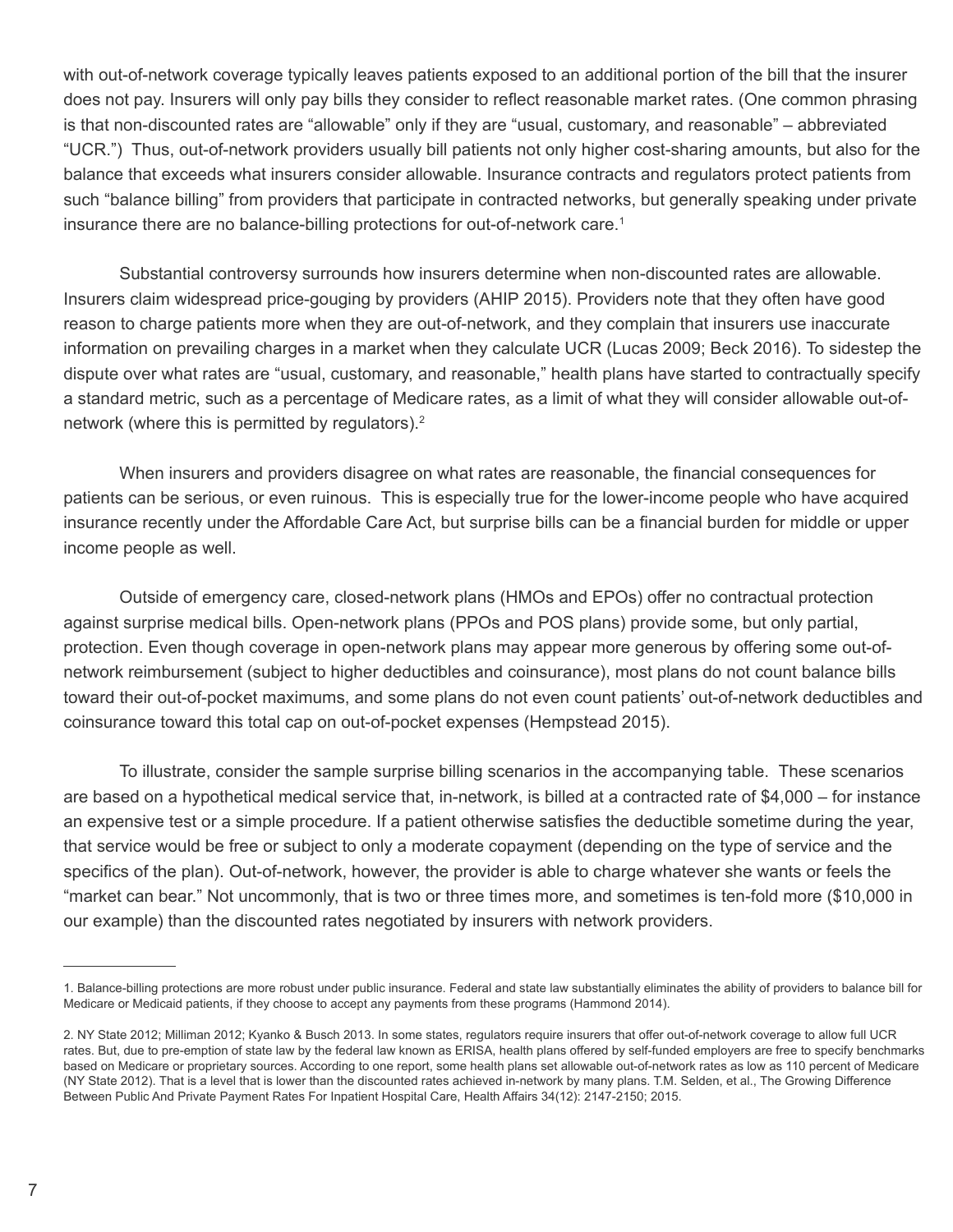with out-of-network coverage typically leaves patients exposed to an additional portion of the bill that the insurer does not pay. Insurers will only pay bills they consider to reflect reasonable market rates. (One common phrasing is that non-discounted rates are "allowable" only if they are "usual, customary, and reasonable" – abbreviated "UCR.") Thus, out-of-network providers usually bill patients not only higher cost-sharing amounts, but also for the balance that exceeds what insurers consider allowable. Insurance contracts and regulators protect patients from such "balance billing" from providers that participate in contracted networks, but generally speaking under private insurance there are no balance-billing protections for out-of-network care.<sup>1</sup>

Substantial controversy surrounds how insurers determine when non-discounted rates are allowable. Insurers claim widespread price-gouging by providers (AHIP 2015). Providers note that they often have good reason to charge patients more when they are out-of-network, and they complain that insurers use inaccurate information on prevailing charges in a market when they calculate UCR (Lucas 2009; Beck 2016). To sidestep the dispute over what rates are "usual, customary, and reasonable," health plans have started to contractually specify a standard metric, such as a percentage of Medicare rates, as a limit of what they will consider allowable out-ofnetwork (where this is permitted by regulators). $2$ 

When insurers and providers disagree on what rates are reasonable, the financial consequences for patients can be serious, or even ruinous. This is especially true for the lower-income people who have acquired insurance recently under the Affordable Care Act, but surprise bills can be a financial burden for middle or upper income people as well.

Outside of emergency care, closed-network plans (HMOs and EPOs) offer no contractual protection against surprise medical bills. Open-network plans (PPOs and POS plans) provide some, but only partial, protection. Even though coverage in open-network plans may appear more generous by offering some out-ofnetwork reimbursement (subject to higher deductibles and coinsurance), most plans do not count balance bills toward their out-of-pocket maximums, and some plans do not even count patients' out-of-network deductibles and coinsurance toward this total cap on out-of-pocket expenses (Hempstead 2015).

To illustrate, consider the sample surprise billing scenarios in the accompanying table. These scenarios are based on a hypothetical medical service that, in-network, is billed at a contracted rate of \$4,000 – for instance an expensive test or a simple procedure. If a patient otherwise satisfies the deductible sometime during the year, that service would be free or subject to only a moderate copayment (depending on the type of service and the specifics of the plan). Out-of-network, however, the provider is able to charge whatever she wants or feels the "market can bear." Not uncommonly, that is two or three times more, and sometimes is ten-fold more (\$10,000 in our example) than the discounted rates negotiated by insurers with network providers.

<sup>1.</sup> Balance-billing protections are more robust under public insurance. Federal and state law substantially eliminates the ability of providers to balance bill for Medicare or Medicaid patients, if they choose to accept any payments from these programs (Hammond 2014).

<sup>2.</sup> NY State 2012; Milliman 2012; Kyanko & Busch 2013. In some states, regulators require insurers that offer out-of-network coverage to allow full UCR rates. But, due to pre-emption of state law by the federal law known as ERISA, health plans offered by self-funded employers are free to specify benchmarks based on Medicare or proprietary sources. According to one report, some health plans set allowable out-of-network rates as low as 110 percent of Medicare (NY State 2012). That is a level that is lower than the discounted rates achieved in-network by many plans. T.M. Selden, et al., The Growing Difference Between Public And Private Payment Rates For Inpatient Hospital Care, Health Affairs 34(12): 2147-2150; 2015.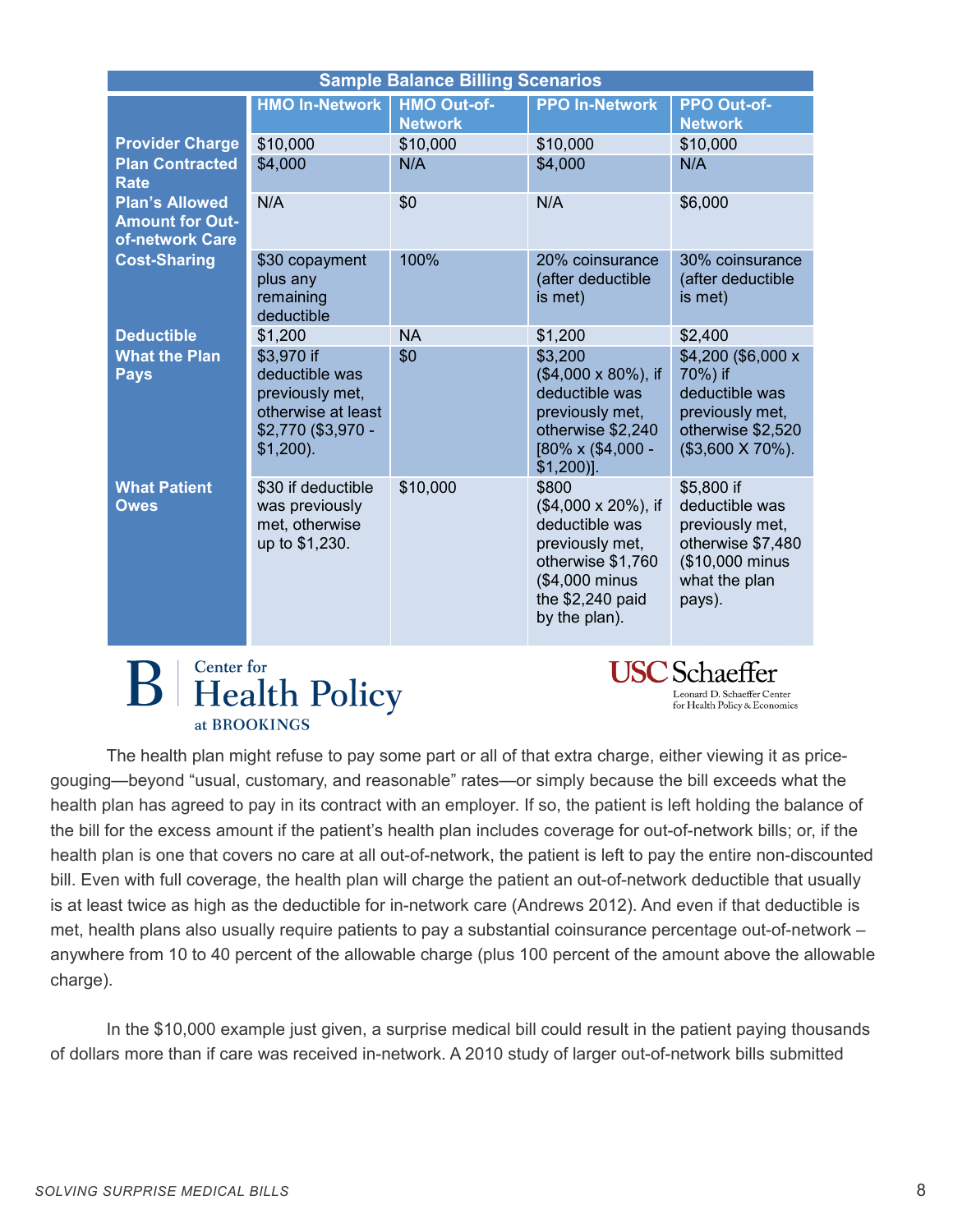| <b>Sample Balance Billing Scenarios</b>                            |                                                                                                            |                                      |                                                                                                                                                       |                                                                                                                    |  |
|--------------------------------------------------------------------|------------------------------------------------------------------------------------------------------------|--------------------------------------|-------------------------------------------------------------------------------------------------------------------------------------------------------|--------------------------------------------------------------------------------------------------------------------|--|
|                                                                    | <b>HMO In-Network</b>                                                                                      | <b>HMO Out-of-</b><br><b>Network</b> | <b>PPO In-Network</b>                                                                                                                                 | <b>PPO Out-of-</b><br><b>Network</b>                                                                               |  |
| <b>Provider Charge</b>                                             | \$10,000                                                                                                   | \$10,000                             | \$10,000                                                                                                                                              | \$10,000                                                                                                           |  |
| <b>Plan Contracted</b><br><b>Rate</b>                              | \$4,000                                                                                                    | N/A                                  | \$4,000                                                                                                                                               | N/A                                                                                                                |  |
| <b>Plan's Allowed</b><br><b>Amount for Out-</b><br>of-network Care | N/A                                                                                                        | \$0                                  | N/A                                                                                                                                                   | \$6,000                                                                                                            |  |
| <b>Cost-Sharing</b>                                                | \$30 copayment<br>plus any<br>remaining<br>deductible                                                      | 100%                                 | 20% coinsurance<br>(after deductible<br>is met)                                                                                                       | 30% coinsurance<br>(after deductible<br>is met)                                                                    |  |
| <b>Deductible</b>                                                  | \$1,200                                                                                                    | <b>NA</b>                            | \$1,200                                                                                                                                               | \$2,400                                                                                                            |  |
| <b>What the Plan</b><br><b>Pays</b>                                | \$3,970 if<br>deductible was<br>previously met,<br>otherwise at least<br>\$2,770 (\$3,970 -<br>$$1,200$ ). | \$0                                  | \$3,200<br>(\$4,000 x 80%), if<br>deductible was<br>previously met,<br>otherwise \$2,240<br>[80% x (\$4,000 -<br>$$1,200$ ].                          | \$4,200 (\$6,000 x<br>70%) if<br>deductible was<br>previously met,<br>otherwise \$2,520<br>$($3,600 \times 70\%).$ |  |
| <b>What Patient</b><br><b>Owes</b>                                 | \$30 if deductible<br>was previously<br>met, otherwise<br>up to \$1,230.                                   | \$10,000                             | \$800<br>$($4,000 \times 20\%)$ , if<br>deductible was<br>previously met,<br>otherwise \$1,760<br>(\$4,000 minus<br>the \$2,240 paid<br>by the plan). | \$5,800 if<br>deductible was<br>previously met,<br>otherwise \$7,480<br>(\$10,000 minus<br>what the plan<br>pays). |  |

### **Center** for **Health Policy** at BROOKINGS

**USC** Schaeffer Leonard D. Schaeffer Center for Health Policy & Economics

The health plan might refuse to pay some part or all of that extra charge, either viewing it as pricegouging—beyond "usual, customary, and reasonable" rates—or simply because the bill exceeds what the health plan has agreed to pay in its contract with an employer. If so, the patient is left holding the balance of the bill for the excess amount if the patient's health plan includes coverage for out-of-network bills; or, if the health plan is one that covers no care at all out-of-network, the patient is left to pay the entire non-discounted bill. Even with full coverage, the health plan will charge the patient an out-of-network deductible that usually is at least twice as high as the deductible for in-network care (Andrews 2012). And even if that deductible is met, health plans also usually require patients to pay a substantial coinsurance percentage out-of-network – anywhere from 10 to 40 percent of the allowable charge (plus 100 percent of the amount above the allowable charge).

In the \$10,000 example just given, a surprise medical bill could result in the patient paying thousands of dollars more than if care was received in-network. A 2010 study of larger out-of-network bills submitted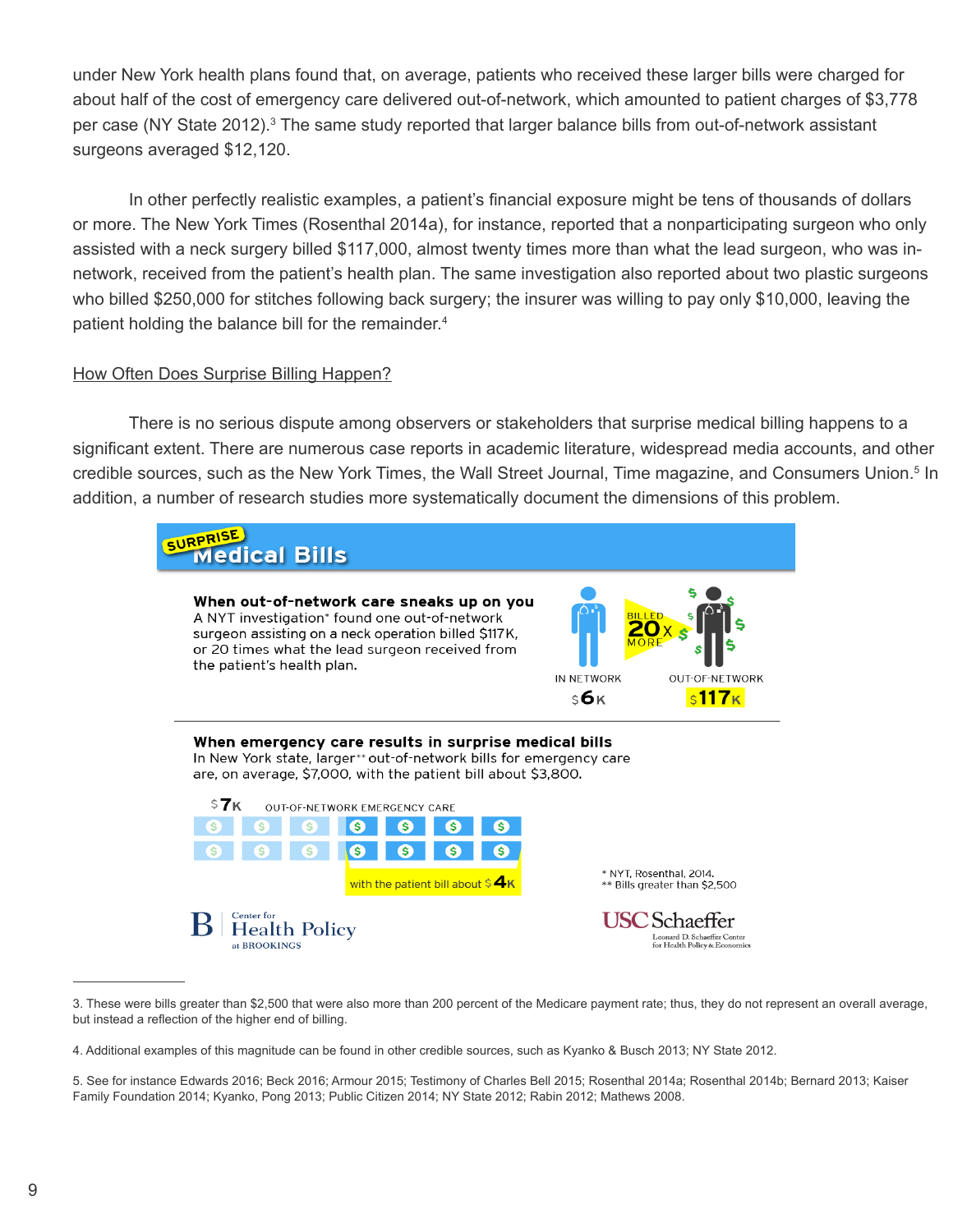under New York health plans found that, on average, patients who received these larger bills were charged for about half of the cost of emergency care delivered out-of-network, which amounted to patient charges of \$3,778 per case (NY State 2012).<sup>3</sup> The same study reported that larger balance bills from out-of-network assistant surgeons averaged \$12,120.

In other perfectly realistic examples, a patient's financial exposure might be tens of thousands of dollars or more. The New York Times (Rosenthal 2014a), for instance, reported that a nonparticipating surgeon who only assisted with a neck surgery billed \$117,000, almost twenty times more than what the lead surgeon, who was innetwork, received from the patient's health plan. The same investigation also reported about two plastic surgeons who billed \$250,000 for stitches following back surgery; the insurer was willing to pay only \$10,000, leaving the patient holding the balance bill for the remainder.<sup>4</sup>

#### How Often Does Surprise Billing Happen?

There is no serious dispute among observers or stakeholders that surprise medical billing happens to a significant extent. There are numerous case reports in academic literature, widespread media accounts, and other credible sources, such as the New York Times, the Wall Street Journal, Time magazine, and Consumers Union.<sup>5</sup> In addition, a number of research studies more systematically document the dimensions of this problem.



<sup>3.</sup> These were bills greater than \$2,500 that were also more than 200 percent of the Medicare payment rate; thus, they do not represent an overall average, but instead a reflection of the higher end of billing.

<sup>4.</sup> Additional examples of this magnitude can be found in other credible sources, such as Kyanko & Busch 2013; NY State 2012.

<sup>5.</sup> See for instance Edwards 2016; Beck 2016; Armour 2015; Testimony of Charles Bell 2015; Rosenthal 2014a; Rosenthal 2014b; Bernard 2013; Kaiser Family Foundation 2014; Kyanko, Pong 2013; Public Citizen 2014; NY State 2012; Rabin 2012; Mathews 2008.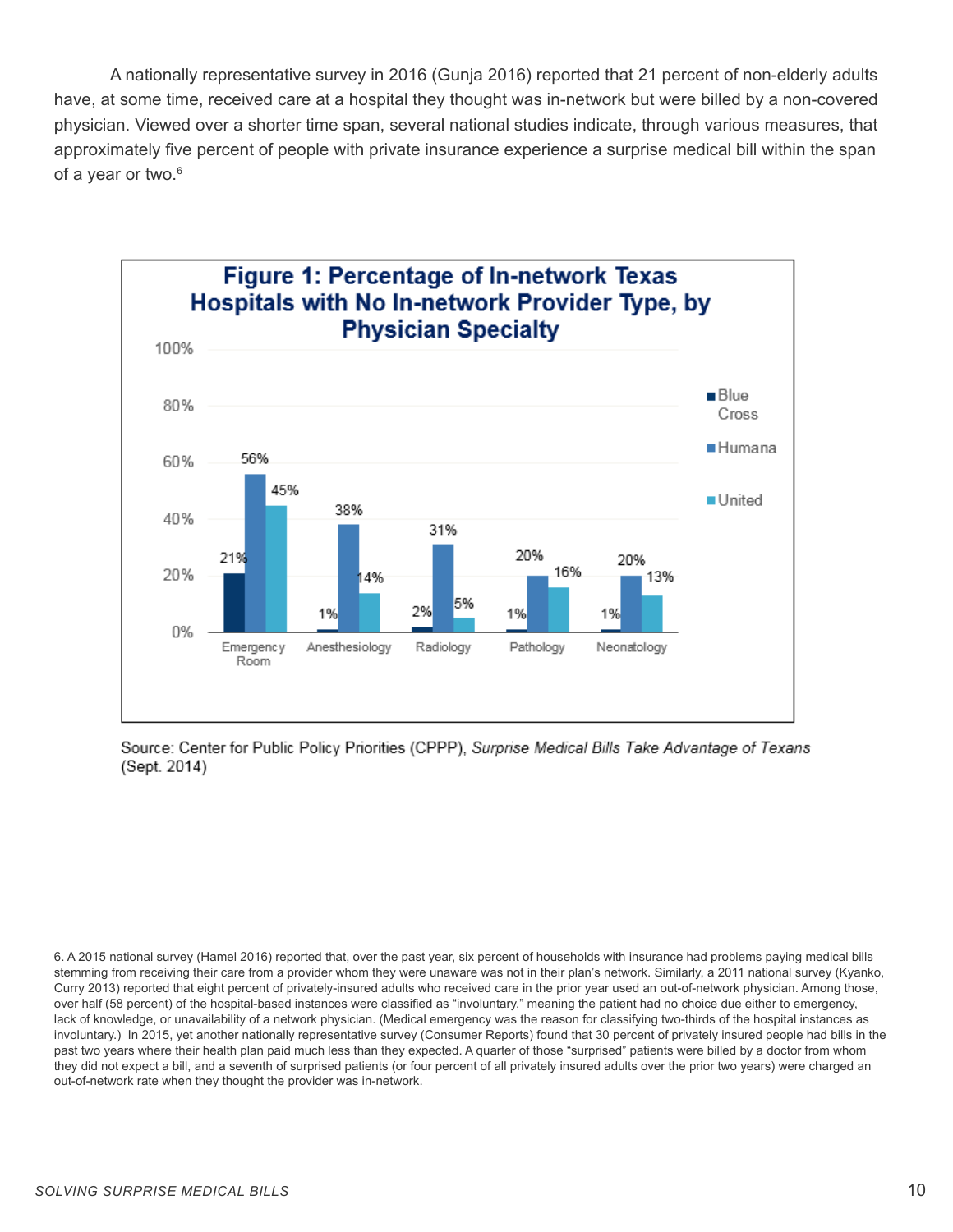A nationally representative survey in 2016 (Gunja 2016) reported that 21 percent of non-elderly adults have, at some time, received care at a hospital they thought was in-network but were billed by a non-covered physician. Viewed over a shorter time span, several national studies indicate, through various measures, that approximately five percent of people with private insurance experience a surprise medical bill within the span of a year or two.<sup>6</sup>



Source: Center for Public Policy Priorities (CPPP), Surprise Medical Bills Take Advantage of Texans (Sept. 2014)

<sup>6.</sup> A 2015 national survey (Hamel 2016) reported that, over the past year, six percent of households with insurance had problems paying medical bills stemming from receiving their care from a provider whom they were unaware was not in their plan's network. Similarly, a 2011 national survey (Kyanko, Curry 2013) reported that eight percent of privately-insured adults who received care in the prior year used an out-of-network physician. Among those, over half (58 percent) of the hospital-based instances were classified as "involuntary," meaning the patient had no choice due either to emergency, lack of knowledge, or unavailability of a network physician. (Medical emergency was the reason for classifying two-thirds of the hospital instances as involuntary.) In 2015, yet another nationally representative survey (Consumer Reports) found that 30 percent of privately insured people had bills in the past two years where their health plan paid much less than they expected. A quarter of those "surprised" patients were billed by a doctor from whom they did not expect a bill, and a seventh of surprised patients (or four percent of all privately insured adults over the prior two years) were charged an out-of-network rate when they thought the provider was in-network.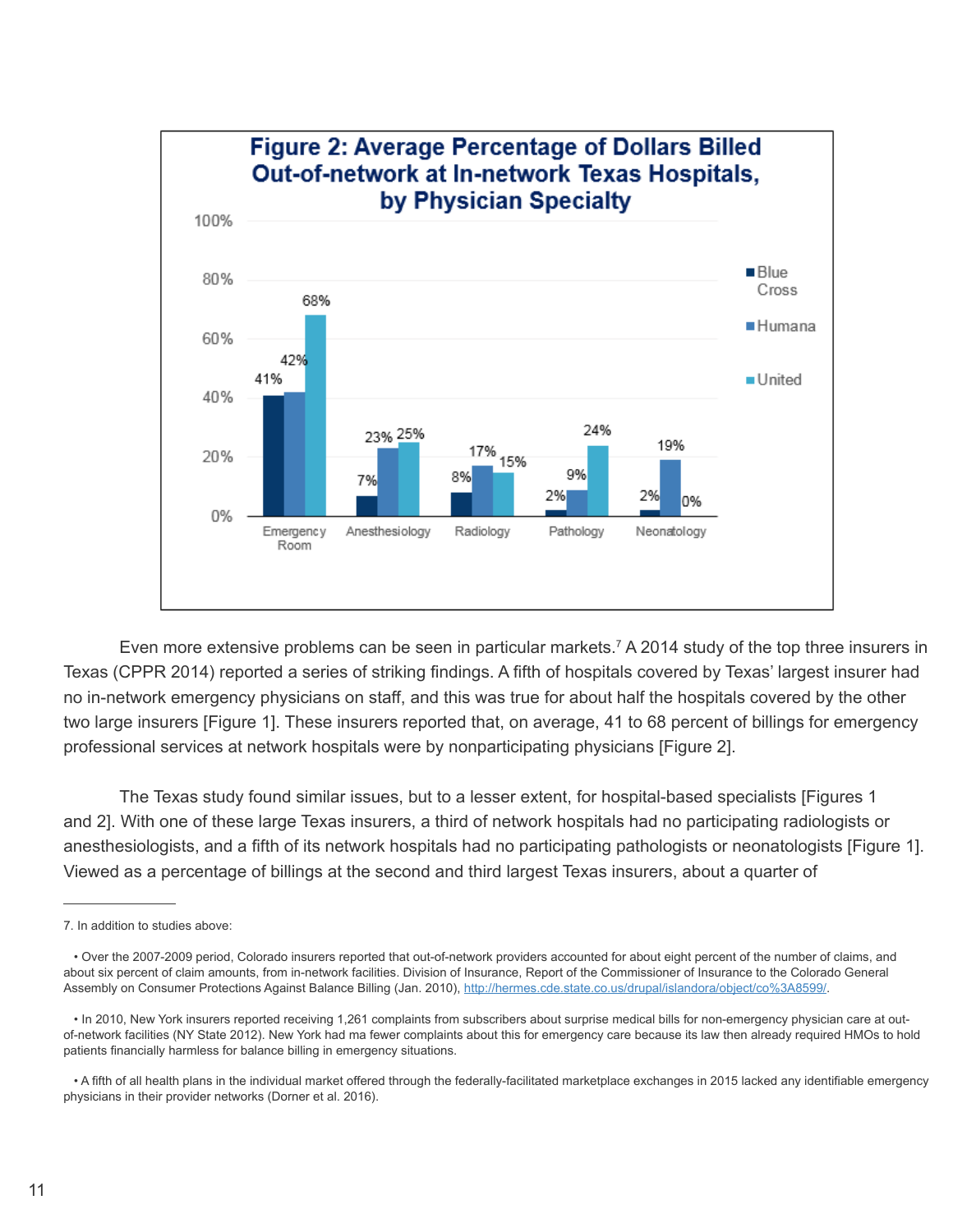

Even more extensive problems can be seen in particular markets.<sup>7</sup> A 2014 study of the top three insurers in Texas (CPPR 2014) reported a series of striking findings. A fifth of hospitals covered by Texas' largest insurer had no in-network emergency physicians on staff, and this was true for about half the hospitals covered by the other two large insurers [Figure 1]. These insurers reported that, on average, 41 to 68 percent of billings for emergency professional services at network hospitals were by nonparticipating physicians [Figure 2].

The Texas study found similar issues, but to a lesser extent, for hospital-based specialists [Figures 1 and 2]. With one of these large Texas insurers, a third of network hospitals had no participating radiologists or anesthesiologists, and a fifth of its network hospitals had no participating pathologists or neonatologists [Figure 1]. Viewed as a percentage of billings at the second and third largest Texas insurers, about a quarter of

<sup>7.</sup> In addition to studies above:

 <sup>•</sup> Over the 2007-2009 period, Colorado insurers reported that out-of-network providers accounted for about eight percent of the number of claims, and about six percent of claim amounts, from in-network facilities. Division of Insurance, Report of the Commissioner of Insurance to the Colorado General Assembly on Consumer Protections Against Balance Billing (Jan. 2010), http://hermes.cde.state.co.us/drupal/islandora/object/co%3A8599/.

 <sup>•</sup> In 2010, New York insurers reported receiving 1,261 complaints from subscribers about surprise medical bills for non-emergency physician care at outof-network facilities (NY State 2012). New York had ma fewer complaints about this for emergency care because its law then already required HMOs to hold patients financially harmless for balance billing in emergency situations.

 <sup>•</sup> A fifth of all health plans in the individual market offered through the federally-facilitated marketplace exchanges in 2015 lacked any identifiable emergency physicians in their provider networks (Dorner et al. 2016).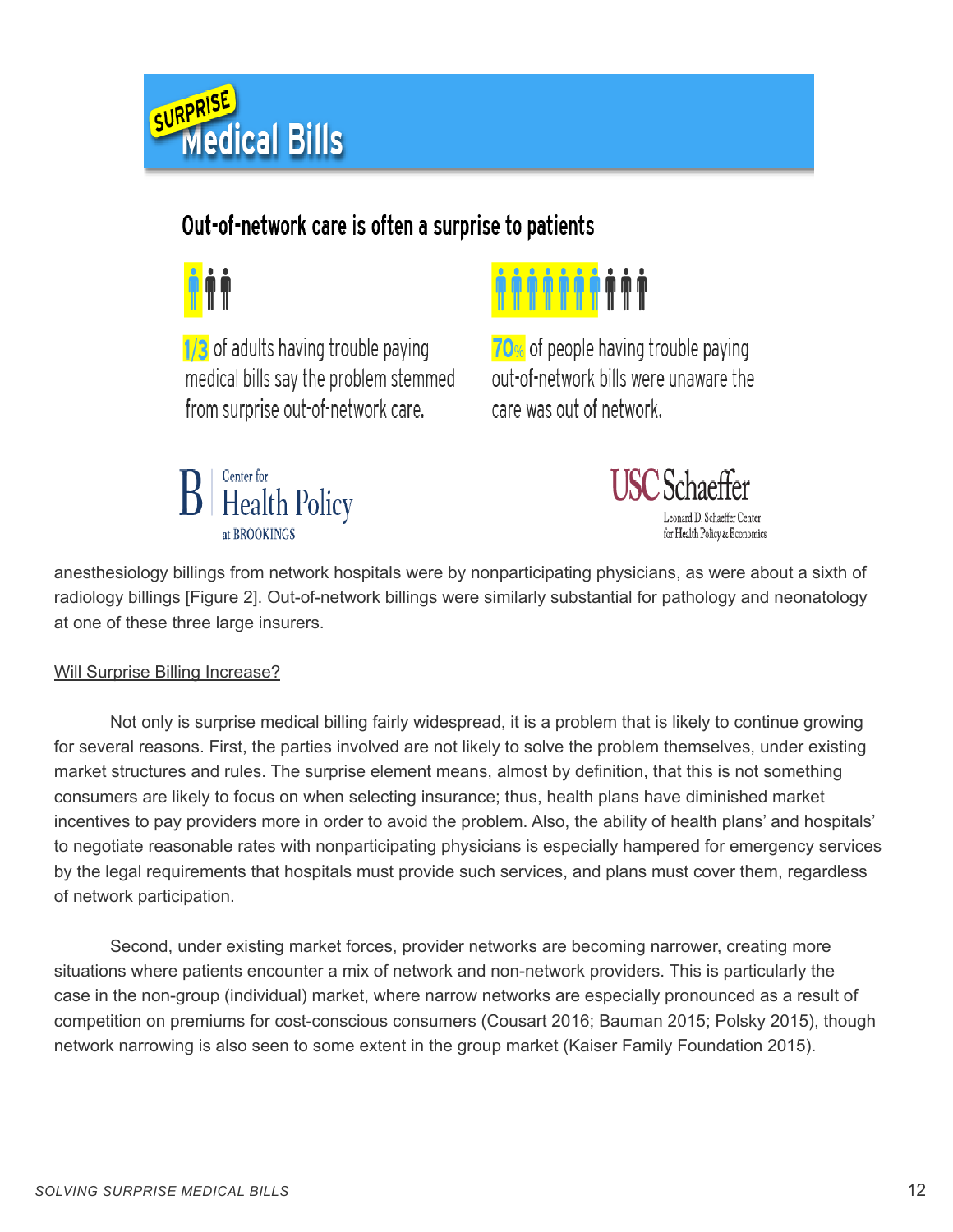

### Out-of-network care is often a surprise to patients



1/3 of adults having trouble paying medical bills say the problem stemmed from surprise out-of-network care.





70% of people having trouble paying out-of-network bills were unaware the care was out of network.



anesthesiology billings from network hospitals were by nonparticipating physicians, as were about a sixth of radiology billings [Figure 2]. Out-of-network billings were similarly substantial for pathology and neonatology at one of these three large insurers.

#### Will Surprise Billing Increase?

Not only is surprise medical billing fairly widespread, it is a problem that is likely to continue growing for several reasons. First, the parties involved are not likely to solve the problem themselves, under existing market structures and rules. The surprise element means, almost by definition, that this is not something consumers are likely to focus on when selecting insurance; thus, health plans have diminished market incentives to pay providers more in order to avoid the problem. Also, the ability of health plans' and hospitals' to negotiate reasonable rates with nonparticipating physicians is especially hampered for emergency services by the legal requirements that hospitals must provide such services, and plans must cover them, regardless of network participation.

Second, under existing market forces, provider networks are becoming narrower, creating more situations where patients encounter a mix of network and non-network providers. This is particularly the case in the non-group (individual) market, where narrow networks are especially pronounced as a result of competition on premiums for cost-conscious consumers (Cousart 2016; Bauman 2015; Polsky 2015), though network narrowing is also seen to some extent in the group market (Kaiser Family Foundation 2015).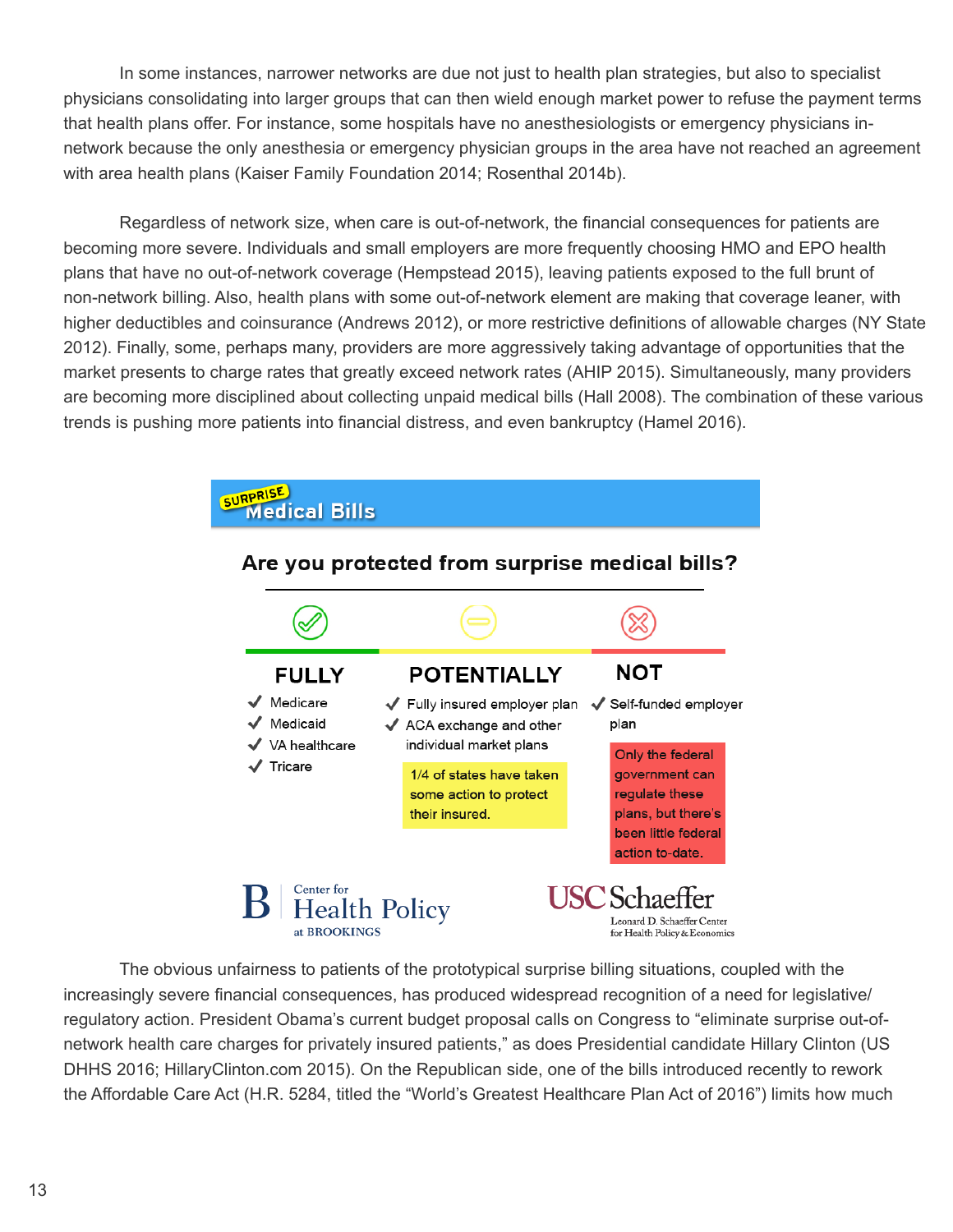In some instances, narrower networks are due not just to health plan strategies, but also to specialist physicians consolidating into larger groups that can then wield enough market power to refuse the payment terms that health plans offer. For instance, some hospitals have no anesthesiologists or emergency physicians innetwork because the only anesthesia or emergency physician groups in the area have not reached an agreement with area health plans (Kaiser Family Foundation 2014; Rosenthal 2014b).

Regardless of network size, when care is out-of-network, the financial consequences for patients are becoming more severe. Individuals and small employers are more frequently choosing HMO and EPO health plans that have no out-of-network coverage (Hempstead 2015), leaving patients exposed to the full brunt of non-network billing. Also, health plans with some out-of-network element are making that coverage leaner, with higher deductibles and coinsurance (Andrews 2012), or more restrictive definitions of allowable charges (NY State 2012). Finally, some, perhaps many, providers are more aggressively taking advantage of opportunities that the market presents to charge rates that greatly exceed network rates (AHIP 2015). Simultaneously, many providers are becoming more disciplined about collecting unpaid medical bills (Hall 2008). The combination of these various trends is pushing more patients into financial distress, and even bankruptcy (Hamel 2016).



The obvious unfairness to patients of the prototypical surprise billing situations, coupled with the increasingly severe financial consequences, has produced widespread recognition of a need for legislative/ regulatory action. President Obama's current budget proposal calls on Congress to "eliminate surprise out-ofnetwork health care charges for privately insured patients," as does Presidential candidate Hillary Clinton (US DHHS 2016; HillaryClinton.com 2015). On the Republican side, one of the bills introduced recently to rework the Affordable Care Act (H.R. 5284, titled the "World's Greatest Healthcare Plan Act of 2016") limits how much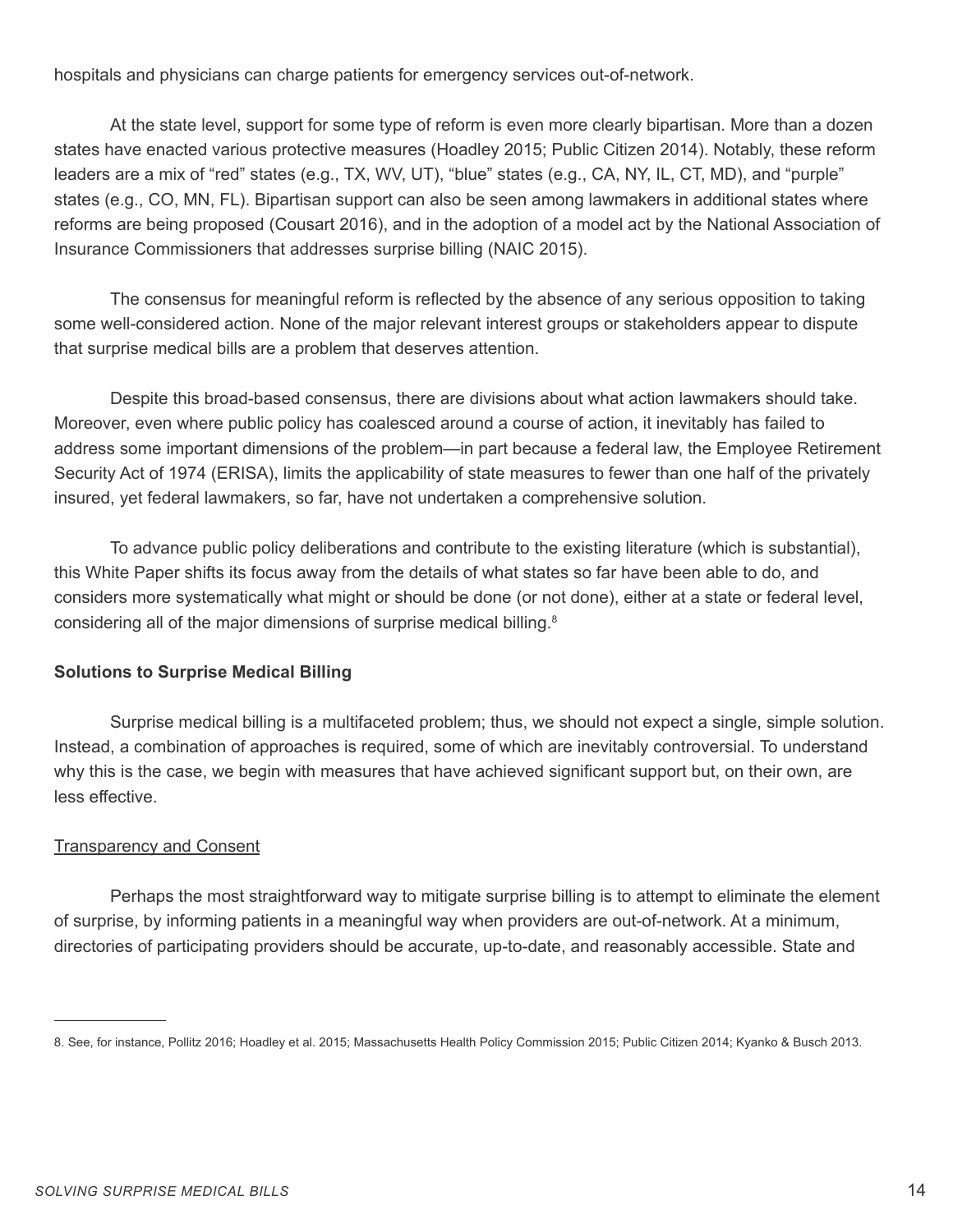hospitals and physicians can charge patients for emergency services out-of-network.

At the state level, support for some type of reform is even more clearly bipartisan. More than a dozen states have enacted various protective measures (Hoadley 2015; Public Citizen 2014). Notably, these reform leaders are a mix of "red" states (e.g., TX, WV, UT), "blue" states (e.g., CA, NY, IL, CT, MD), and "purple" states (e.g., CO, MN, FL). Bipartisan support can also be seen among lawmakers in additional states where reforms are being proposed (Cousart 2016), and in the adoption of a model act by the National Association of Insurance Commissioners that addresses surprise billing (NAIC 2015).

The consensus for meaningful reform is reflected by the absence of any serious opposition to taking some well-considered action. None of the major relevant interest groups or stakeholders appear to dispute that surprise medical bills are a problem that deserves attention.

Despite this broad-based consensus, there are divisions about what action lawmakers should take. Moreover, even where public policy has coalesced around a course of action, it inevitably has failed to address some important dimensions of the problem—in part because a federal law, the Employee Retirement Security Act of 1974 (ERISA), limits the applicability of state measures to fewer than one half of the privately insured, yet federal lawmakers, so far, have not undertaken a comprehensive solution.

To advance public policy deliberations and contribute to the existing literature (which is substantial), this White Paper shifts its focus away from the details of what states so far have been able to do, and considers more systematically what might or should be done (or not done), either at a state or federal level, considering all of the major dimensions of surprise medical billing.<sup>8</sup>

#### **Solutions to Surprise Medical Billing**

Surprise medical billing is a multifaceted problem; thus, we should not expect a single, simple solution. Instead, a combination of approaches is required, some of which are inevitably controversial. To understand why this is the case, we begin with measures that have achieved significant support but, on their own, are less effective.

#### **Transparency and Consent**

Perhaps the most straightforward way to mitigate surprise billing is to attempt to eliminate the element of surprise, by informing patients in a meaningful way when providers are out-of-network. At a minimum, directories of participating providers should be accurate, up-to-date, and reasonably accessible. State and

<sup>8.</sup> See, for instance, Pollitz 2016; Hoadley et al. 2015; Massachusetts Health Policy Commission 2015; Public Citizen 2014; Kyanko & Busch 2013.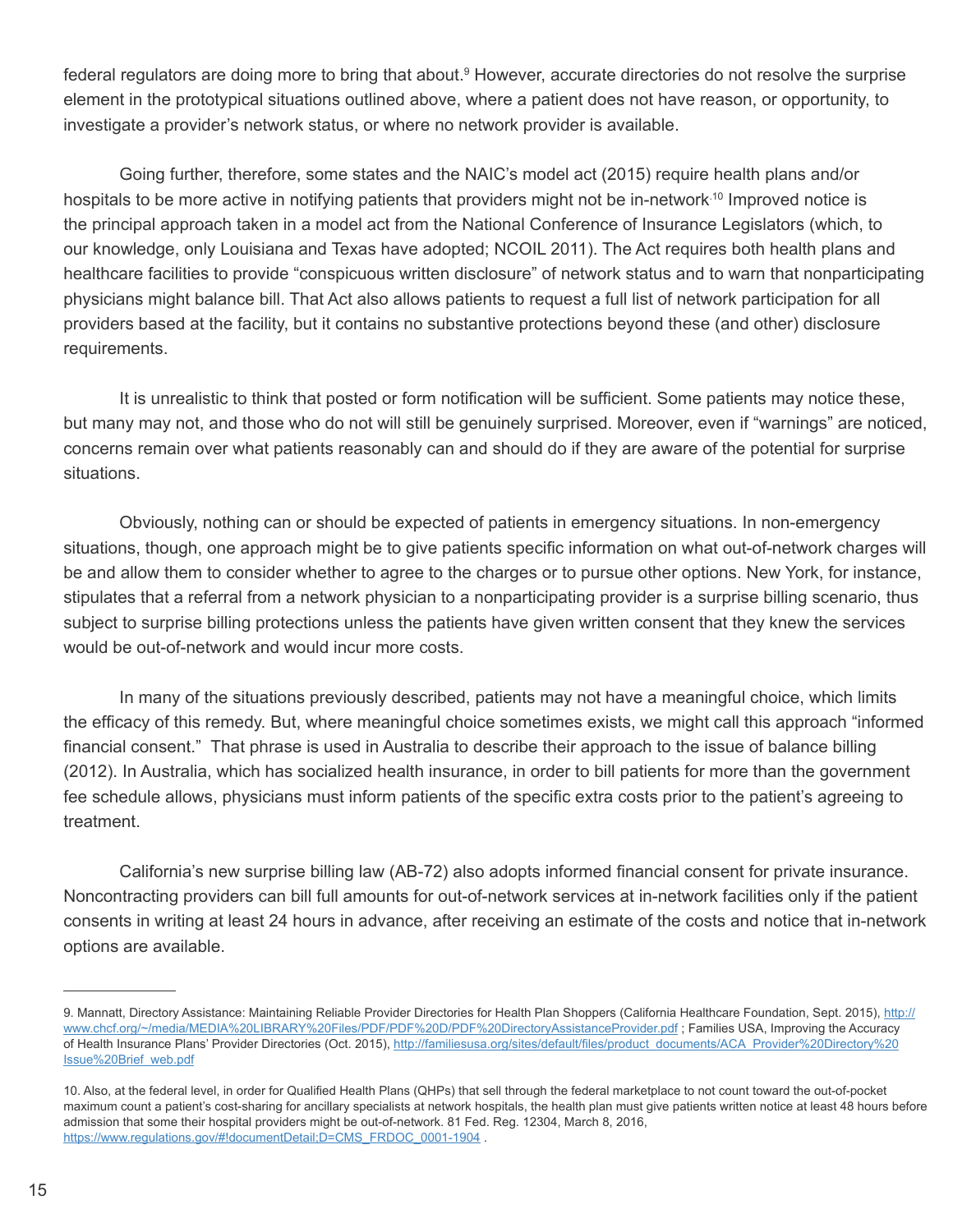federal regulators are doing more to bring that about.<sup>9</sup> However, accurate directories do not resolve the surprise element in the prototypical situations outlined above, where a patient does not have reason, or opportunity, to investigate a provider's network status, or where no network provider is available.

Going further, therefore, some states and the NAIC's model act (2015) require health plans and/or hospitals to be more active in notifying patients that providers might not be in-network.<sup>10</sup> Improved notice is the principal approach taken in a model act from the National Conference of Insurance Legislators (which, to our knowledge, only Louisiana and Texas have adopted; NCOIL 2011). The Act requires both health plans and healthcare facilities to provide "conspicuous written disclosure" of network status and to warn that nonparticipating physicians might balance bill. That Act also allows patients to request a full list of network participation for all providers based at the facility, but it contains no substantive protections beyond these (and other) disclosure requirements.

It is unrealistic to think that posted or form notification will be sufficient. Some patients may notice these, but many may not, and those who do not will still be genuinely surprised. Moreover, even if "warnings" are noticed, concerns remain over what patients reasonably can and should do if they are aware of the potential for surprise situations.

Obviously, nothing can or should be expected of patients in emergency situations. In non-emergency situations, though, one approach might be to give patients specific information on what out-of-network charges will be and allow them to consider whether to agree to the charges or to pursue other options. New York, for instance, stipulates that a referral from a network physician to a nonparticipating provider is a surprise billing scenario, thus subject to surprise billing protections unless the patients have given written consent that they knew the services would be out-of-network and would incur more costs.

In many of the situations previously described, patients may not have a meaningful choice, which limits the efficacy of this remedy. But, where meaningful choice sometimes exists, we might call this approach "informed financial consent." That phrase is used in Australia to describe their approach to the issue of balance billing (2012). In Australia, which has socialized health insurance, in order to bill patients for more than the government fee schedule allows, physicians must inform patients of the specific extra costs prior to the patient's agreeing to treatment.

California's new surprise billing law (AB-72) also adopts informed financial consent for private insurance. Noncontracting providers can bill full amounts for out-of-network services at in-network facilities only if the patient consents in writing at least 24 hours in advance, after receiving an estimate of the costs and notice that in-network options are available.

<sup>9.</sup> Mannatt, Directory Assistance: Maintaining Reliable Provider Directories for Health Plan Shoppers (California Healthcare Foundation, Sept. 2015), http:// www.chcf.org/~/media/MEDIA%20LIBRARY%20Files/PDF/PDF%20D/PDF%20DirectoryAssistanceProvider.pdf ; Families USA, Improving the Accuracy of Health Insurance Plans' Provider Directories (Oct. 2015), http://familiesusa.org/sites/default/files/product\_documents/ACA\_Provider%20Directory%20 Issue%20Brief\_web.pdf

<sup>10.</sup> Also, at the federal level, in order for Qualified Health Plans (QHPs) that sell through the federal marketplace to not count toward the out-of-pocket maximum count a patient's cost-sharing for ancillary specialists at network hospitals, the health plan must give patients written notice at least 48 hours before admission that some their hospital providers might be out-of-network. 81 Fed. Reg. 12304, March 8, 2016, https://www.regulations.gov/#!documentDetail;D=CMS\_FRDOC\_0001-1904 .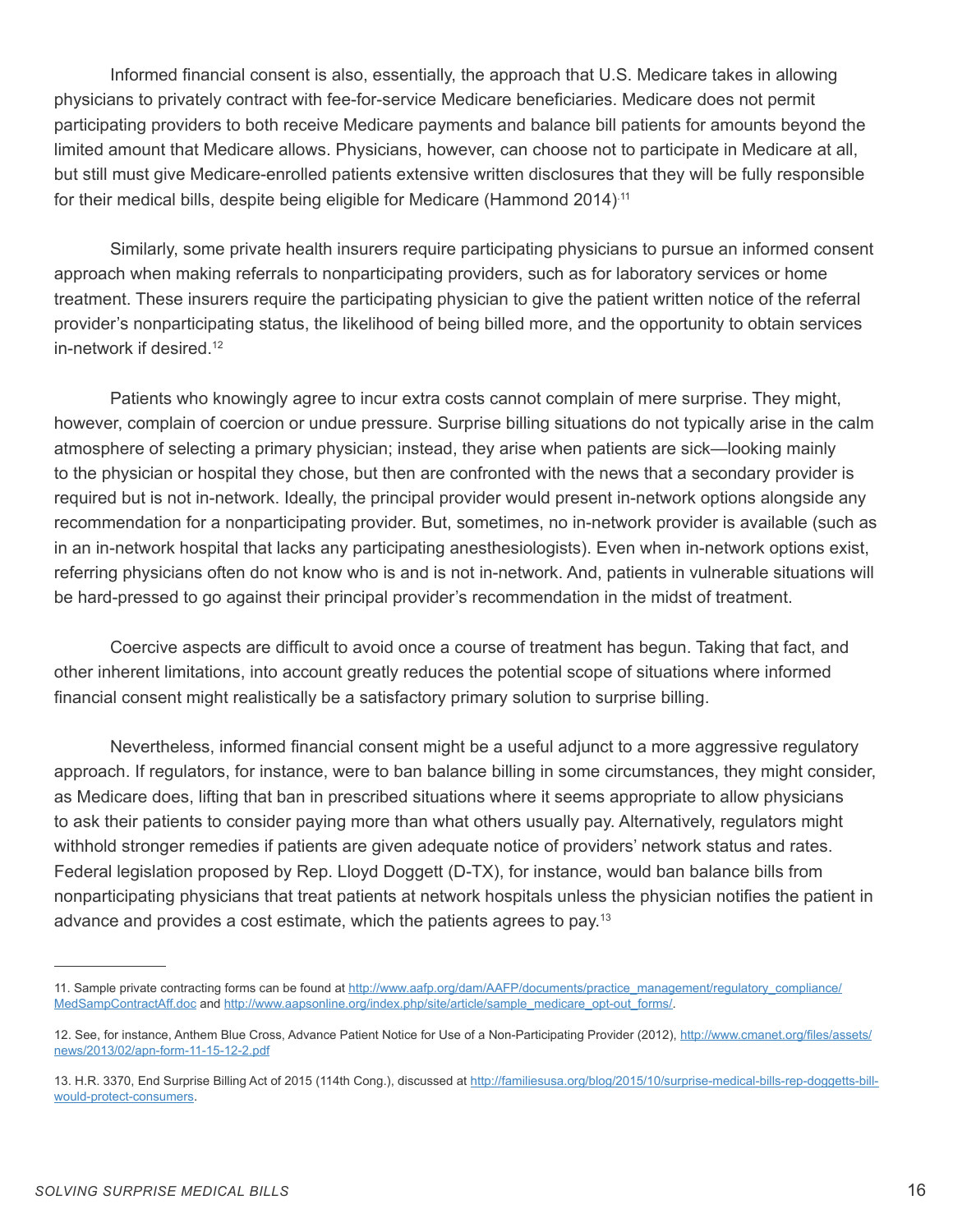Informed financial consent is also, essentially, the approach that U.S. Medicare takes in allowing physicians to privately contract with fee-for-service Medicare beneficiaries. Medicare does not permit participating providers to both receive Medicare payments and balance bill patients for amounts beyond the limited amount that Medicare allows. Physicians, however, can choose not to participate in Medicare at all, but still must give Medicare-enrolled patients extensive written disclosures that they will be fully responsible for their medical bills, despite being eligible for Medicare (Hammond 2014).11

Similarly, some private health insurers require participating physicians to pursue an informed consent approach when making referrals to nonparticipating providers, such as for laboratory services or home treatment. These insurers require the participating physician to give the patient written notice of the referral provider's nonparticipating status, the likelihood of being billed more, and the opportunity to obtain services in-network if desired.<sup>12</sup>

Patients who knowingly agree to incur extra costs cannot complain of mere surprise. They might, however, complain of coercion or undue pressure. Surprise billing situations do not typically arise in the calm atmosphere of selecting a primary physician; instead, they arise when patients are sick—looking mainly to the physician or hospital they chose, but then are confronted with the news that a secondary provider is required but is not in-network. Ideally, the principal provider would present in-network options alongside any recommendation for a nonparticipating provider. But, sometimes, no in-network provider is available (such as in an in-network hospital that lacks any participating anesthesiologists). Even when in-network options exist, referring physicians often do not know who is and is not in-network. And, patients in vulnerable situations will be hard-pressed to go against their principal provider's recommendation in the midst of treatment.

Coercive aspects are difficult to avoid once a course of treatment has begun. Taking that fact, and other inherent limitations, into account greatly reduces the potential scope of situations where informed financial consent might realistically be a satisfactory primary solution to surprise billing.

Nevertheless, informed financial consent might be a useful adjunct to a more aggressive regulatory approach. If regulators, for instance, were to ban balance billing in some circumstances, they might consider, as Medicare does, lifting that ban in prescribed situations where it seems appropriate to allow physicians to ask their patients to consider paying more than what others usually pay. Alternatively, regulators might withhold stronger remedies if patients are given adequate notice of providers' network status and rates. Federal legislation proposed by Rep. Lloyd Doggett (D-TX), for instance, would ban balance bills from nonparticipating physicians that treat patients at network hospitals unless the physician notifies the patient in advance and provides a cost estimate, which the patients agrees to pay.13

<sup>11.</sup> Sample private contracting forms can be found at http://www.aafp.org/dam/AAFP/documents/practice\_management/regulatory\_compliance/ MedSampContractAff.doc and http://www.aapsonline.org/index.php/site/article/sample\_medicare\_opt-out\_forms/.

<sup>12.</sup> See, for instance, Anthem Blue Cross, Advance Patient Notice for Use of a Non-Participating Provider (2012), http://www.cmanet.org/files/assets/ news/2013/02/apn-form-11-15-12-2.pdf

<sup>13.</sup> H.R. 3370, End Surprise Billing Act of 2015 (114th Cong.), discussed at http://familiesusa.org/blog/2015/10/surprise-medical-bills-rep-doggetts-billwould-protect-consumers.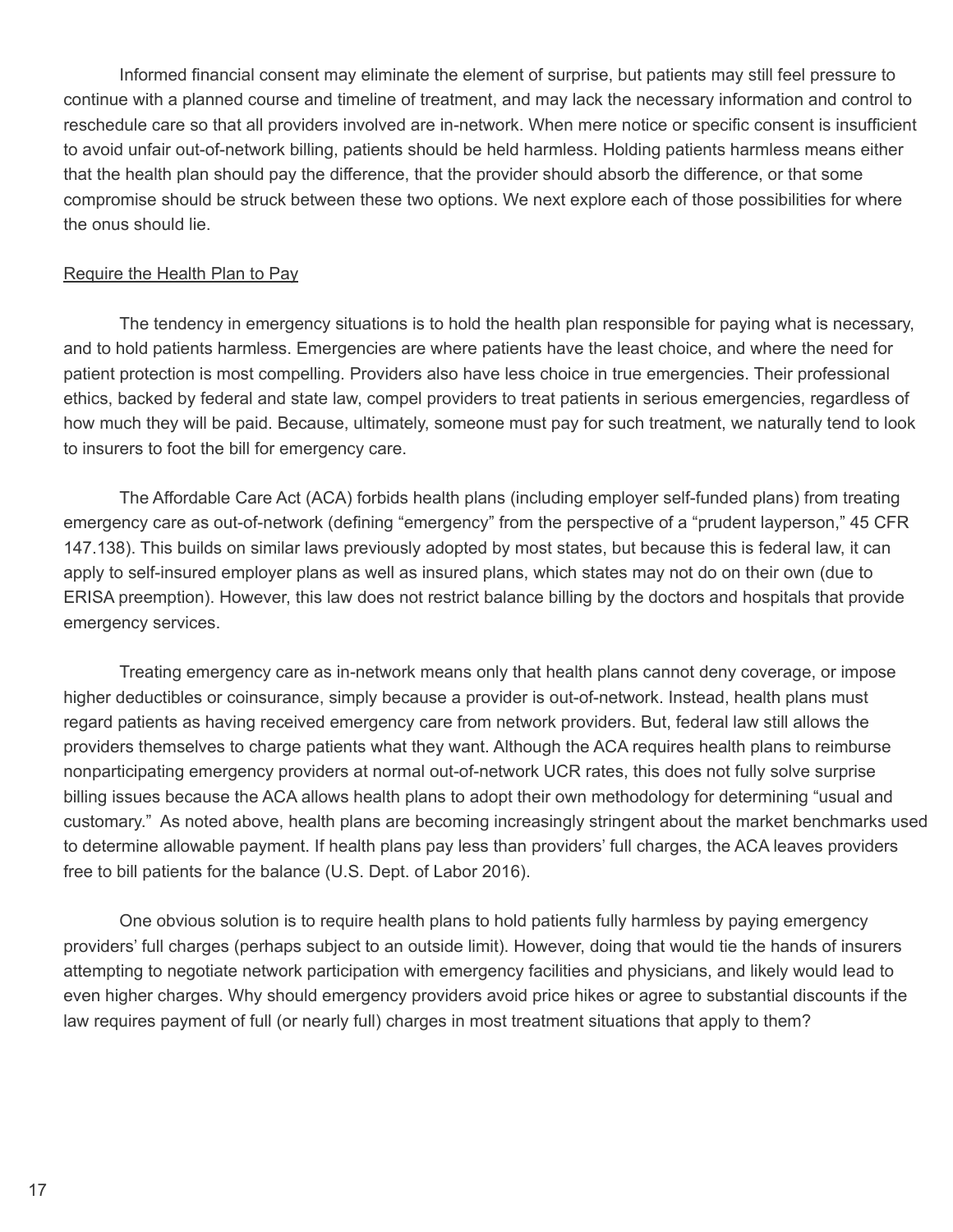Informed financial consent may eliminate the element of surprise, but patients may still feel pressure to continue with a planned course and timeline of treatment, and may lack the necessary information and control to reschedule care so that all providers involved are in-network. When mere notice or specific consent is insufficient to avoid unfair out-of-network billing, patients should be held harmless. Holding patients harmless means either that the health plan should pay the difference, that the provider should absorb the difference, or that some compromise should be struck between these two options. We next explore each of those possibilities for where the onus should lie.

#### Require the Health Plan to Pay

The tendency in emergency situations is to hold the health plan responsible for paying what is necessary, and to hold patients harmless. Emergencies are where patients have the least choice, and where the need for patient protection is most compelling. Providers also have less choice in true emergencies. Their professional ethics, backed by federal and state law, compel providers to treat patients in serious emergencies, regardless of how much they will be paid. Because, ultimately, someone must pay for such treatment, we naturally tend to look to insurers to foot the bill for emergency care.

The Affordable Care Act (ACA) forbids health plans (including employer self-funded plans) from treating emergency care as out-of-network (defining "emergency" from the perspective of a "prudent layperson," 45 CFR 147.138). This builds on similar laws previously adopted by most states, but because this is federal law, it can apply to self-insured employer plans as well as insured plans, which states may not do on their own (due to ERISA preemption). However, this law does not restrict balance billing by the doctors and hospitals that provide emergency services.

Treating emergency care as in-network means only that health plans cannot deny coverage, or impose higher deductibles or coinsurance, simply because a provider is out-of-network. Instead, health plans must regard patients as having received emergency care from network providers. But, federal law still allows the providers themselves to charge patients what they want. Although the ACA requires health plans to reimburse nonparticipating emergency providers at normal out-of-network UCR rates, this does not fully solve surprise billing issues because the ACA allows health plans to adopt their own methodology for determining "usual and customary." As noted above, health plans are becoming increasingly stringent about the market benchmarks used to determine allowable payment. If health plans pay less than providers' full charges, the ACA leaves providers free to bill patients for the balance (U.S. Dept. of Labor 2016).

One obvious solution is to require health plans to hold patients fully harmless by paying emergency providers' full charges (perhaps subject to an outside limit). However, doing that would tie the hands of insurers attempting to negotiate network participation with emergency facilities and physicians, and likely would lead to even higher charges. Why should emergency providers avoid price hikes or agree to substantial discounts if the law requires payment of full (or nearly full) charges in most treatment situations that apply to them?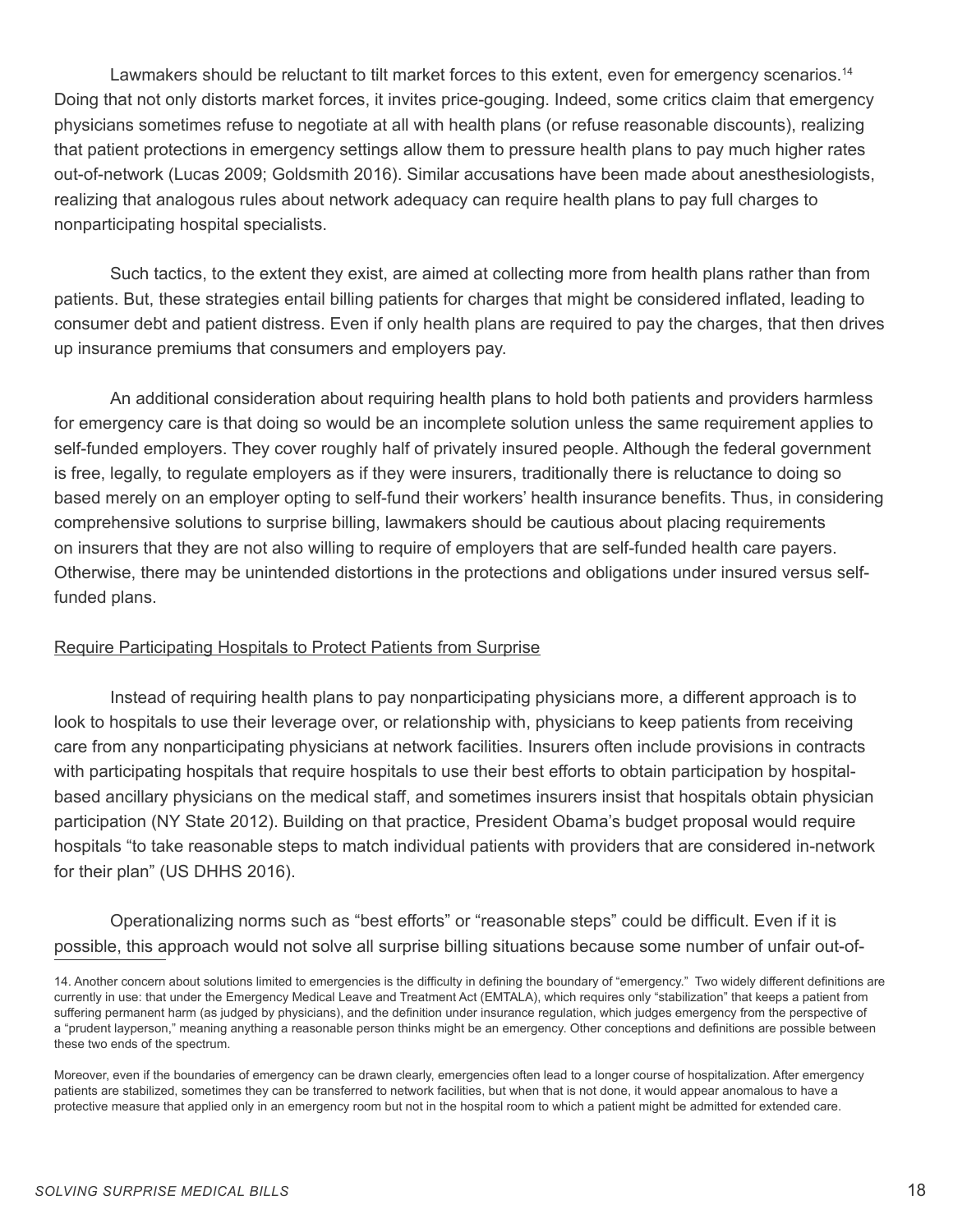Lawmakers should be reluctant to tilt market forces to this extent, even for emergency scenarios.<sup>14</sup> Doing that not only distorts market forces, it invites price-gouging. Indeed, some critics claim that emergency physicians sometimes refuse to negotiate at all with health plans (or refuse reasonable discounts), realizing that patient protections in emergency settings allow them to pressure health plans to pay much higher rates out-of-network (Lucas 2009; Goldsmith 2016). Similar accusations have been made about anesthesiologists, realizing that analogous rules about network adequacy can require health plans to pay full charges to nonparticipating hospital specialists.

Such tactics, to the extent they exist, are aimed at collecting more from health plans rather than from patients. But, these strategies entail billing patients for charges that might be considered inflated, leading to consumer debt and patient distress. Even if only health plans are required to pay the charges, that then drives up insurance premiums that consumers and employers pay.

An additional consideration about requiring health plans to hold both patients and providers harmless for emergency care is that doing so would be an incomplete solution unless the same requirement applies to self-funded employers. They cover roughly half of privately insured people. Although the federal government is free, legally, to regulate employers as if they were insurers, traditionally there is reluctance to doing so based merely on an employer opting to self-fund their workers' health insurance benefits. Thus, in considering comprehensive solutions to surprise billing, lawmakers should be cautious about placing requirements on insurers that they are not also willing to require of employers that are self-funded health care payers. Otherwise, there may be unintended distortions in the protections and obligations under insured versus selffunded plans.

#### Require Participating Hospitals to Protect Patients from Surprise

Instead of requiring health plans to pay nonparticipating physicians more, a different approach is to look to hospitals to use their leverage over, or relationship with, physicians to keep patients from receiving care from any nonparticipating physicians at network facilities. Insurers often include provisions in contracts with participating hospitals that require hospitals to use their best efforts to obtain participation by hospitalbased ancillary physicians on the medical staff, and sometimes insurers insist that hospitals obtain physician participation (NY State 2012). Building on that practice, President Obama's budget proposal would require hospitals "to take reasonable steps to match individual patients with providers that are considered in-network for their plan" (US DHHS 2016).

Operationalizing norms such as "best efforts" or "reasonable steps" could be difficult. Even if it is possible, this approach would not solve all surprise billing situations because some number of unfair out-of-

<sup>14.</sup> Another concern about solutions limited to emergencies is the difficulty in defining the boundary of "emergency." Two widely different definitions are currently in use: that under the Emergency Medical Leave and Treatment Act (EMTALA), which requires only "stabilization" that keeps a patient from suffering permanent harm (as judged by physicians), and the definition under insurance regulation, which judges emergency from the perspective of a "prudent layperson," meaning anything a reasonable person thinks might be an emergency. Other conceptions and definitions are possible between these two ends of the spectrum.

Moreover, even if the boundaries of emergency can be drawn clearly, emergencies often lead to a longer course of hospitalization. After emergency patients are stabilized, sometimes they can be transferred to network facilities, but when that is not done, it would appear anomalous to have a protective measure that applied only in an emergency room but not in the hospital room to which a patient might be admitted for extended care.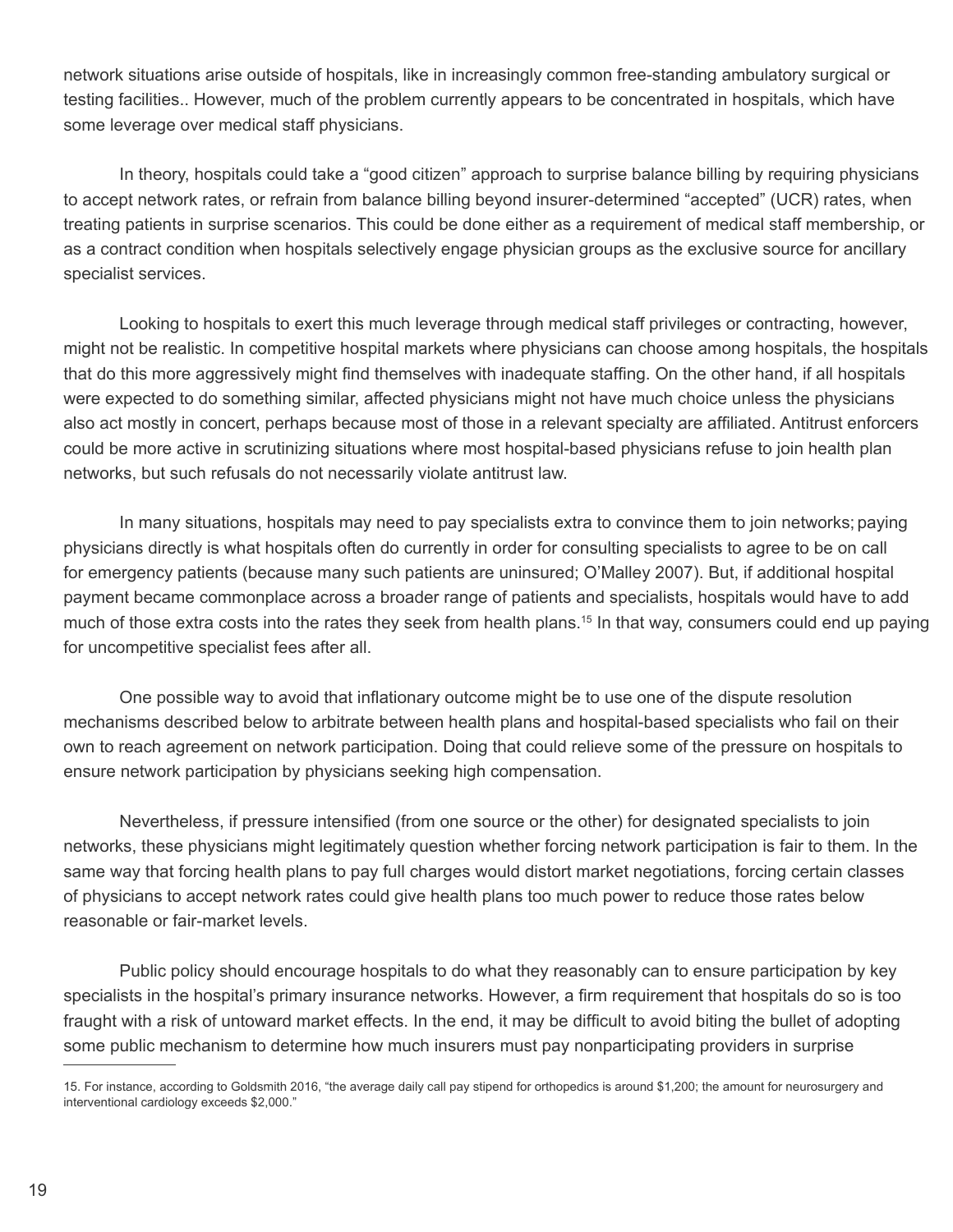network situations arise outside of hospitals, like in increasingly common free-standing ambulatory surgical or testing facilities.. However, much of the problem currently appears to be concentrated in hospitals, which have some leverage over medical staff physicians.

In theory, hospitals could take a "good citizen" approach to surprise balance billing by requiring physicians to accept network rates, or refrain from balance billing beyond insurer-determined "accepted" (UCR) rates, when treating patients in surprise scenarios. This could be done either as a requirement of medical staff membership, or as a contract condition when hospitals selectively engage physician groups as the exclusive source for ancillary specialist services.

Looking to hospitals to exert this much leverage through medical staff privileges or contracting, however, might not be realistic. In competitive hospital markets where physicians can choose among hospitals, the hospitals that do this more aggressively might find themselves with inadequate staffing. On the other hand, if all hospitals were expected to do something similar, affected physicians might not have much choice unless the physicians also act mostly in concert, perhaps because most of those in a relevant specialty are affiliated. Antitrust enforcers could be more active in scrutinizing situations where most hospital-based physicians refuse to join health plan networks, but such refusals do not necessarily violate antitrust law.

In many situations, hospitals may need to pay specialists extra to convince them to join networks; paying physicians directly is what hospitals often do currently in order for consulting specialists to agree to be on call for emergency patients (because many such patients are uninsured; O'Malley 2007). But, if additional hospital payment became commonplace across a broader range of patients and specialists, hospitals would have to add much of those extra costs into the rates they seek from health plans.15 In that way, consumers could end up paying for uncompetitive specialist fees after all.

One possible way to avoid that inflationary outcome might be to use one of the dispute resolution mechanisms described below to arbitrate between health plans and hospital-based specialists who fail on their own to reach agreement on network participation. Doing that could relieve some of the pressure on hospitals to ensure network participation by physicians seeking high compensation.

Nevertheless, if pressure intensified (from one source or the other) for designated specialists to join networks, these physicians might legitimately question whether forcing network participation is fair to them. In the same way that forcing health plans to pay full charges would distort market negotiations, forcing certain classes of physicians to accept network rates could give health plans too much power to reduce those rates below reasonable or fair-market levels.

Public policy should encourage hospitals to do what they reasonably can to ensure participation by key specialists in the hospital's primary insurance networks. However, a firm requirement that hospitals do so is too fraught with a risk of untoward market effects. In the end, it may be difficult to avoid biting the bullet of adopting some public mechanism to determine how much insurers must pay nonparticipating providers in surprise

<sup>15.</sup> For instance, according to Goldsmith 2016, "the average daily call pay stipend for orthopedics is around \$1,200; the amount for neurosurgery and interventional cardiology exceeds \$2,000."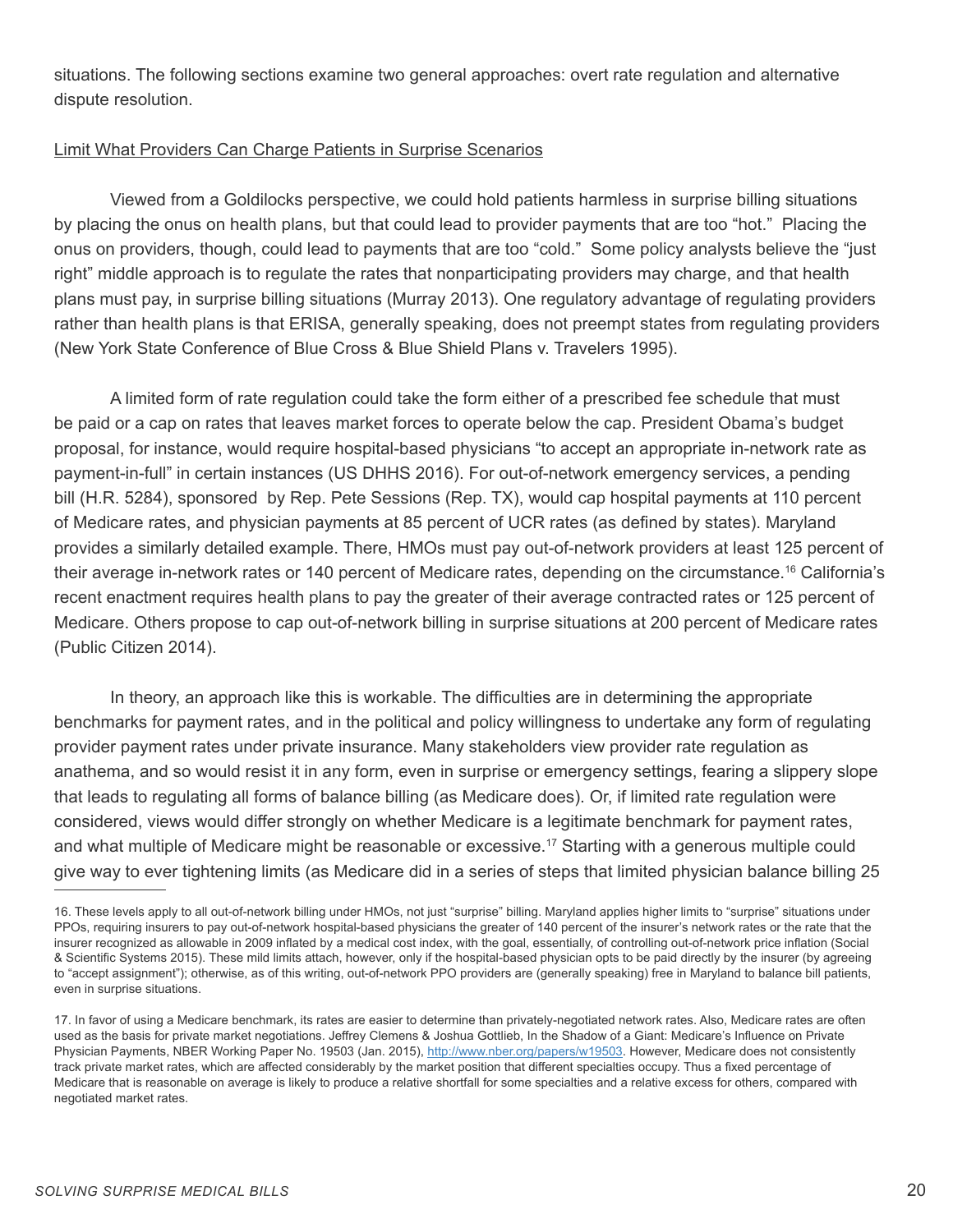situations. The following sections examine two general approaches: overt rate regulation and alternative dispute resolution.

#### Limit What Providers Can Charge Patients in Surprise Scenarios

Viewed from a Goldilocks perspective, we could hold patients harmless in surprise billing situations by placing the onus on health plans, but that could lead to provider payments that are too "hot." Placing the onus on providers, though, could lead to payments that are too "cold." Some policy analysts believe the "just right" middle approach is to regulate the rates that nonparticipating providers may charge, and that health plans must pay, in surprise billing situations (Murray 2013). One regulatory advantage of regulating providers rather than health plans is that ERISA, generally speaking, does not preempt states from regulating providers (New York State Conference of Blue Cross & Blue Shield Plans v. Travelers 1995).

A limited form of rate regulation could take the form either of a prescribed fee schedule that must be paid or a cap on rates that leaves market forces to operate below the cap. President Obama's budget proposal, for instance, would require hospital-based physicians "to accept an appropriate in-network rate as payment-in-full" in certain instances (US DHHS 2016). For out-of-network emergency services, a pending bill (H.R. 5284), sponsored by Rep. Pete Sessions (Rep. TX), would cap hospital payments at 110 percent of Medicare rates, and physician payments at 85 percent of UCR rates (as defined by states). Maryland provides a similarly detailed example. There, HMOs must pay out-of-network providers at least 125 percent of their average in-network rates or 140 percent of Medicare rates, depending on the circumstance.16 California's recent enactment requires health plans to pay the greater of their average contracted rates or 125 percent of Medicare. Others propose to cap out-of-network billing in surprise situations at 200 percent of Medicare rates (Public Citizen 2014).

In theory, an approach like this is workable. The difficulties are in determining the appropriate benchmarks for payment rates, and in the political and policy willingness to undertake any form of regulating provider payment rates under private insurance. Many stakeholders view provider rate regulation as anathema, and so would resist it in any form, even in surprise or emergency settings, fearing a slippery slope that leads to regulating all forms of balance billing (as Medicare does). Or, if limited rate regulation were considered, views would differ strongly on whether Medicare is a legitimate benchmark for payment rates, and what multiple of Medicare might be reasonable or excessive.<sup>17</sup> Starting with a generous multiple could give way to ever tightening limits (as Medicare did in a series of steps that limited physician balance billing 25

<sup>16.</sup> These levels apply to all out-of-network billing under HMOs, not just "surprise" billing. Maryland applies higher limits to "surprise" situations under PPOs, requiring insurers to pay out-of-network hospital-based physicians the greater of 140 percent of the insurer's network rates or the rate that the insurer recognized as allowable in 2009 inflated by a medical cost index, with the goal, essentially, of controlling out-of-network price inflation (Social & Scientific Systems 2015). These mild limits attach, however, only if the hospital-based physician opts to be paid directly by the insurer (by agreeing to "accept assignment"); otherwise, as of this writing, out-of-network PPO providers are (generally speaking) free in Maryland to balance bill patients, even in surprise situations.

<sup>17.</sup> In favor of using a Medicare benchmark, its rates are easier to determine than privately-negotiated network rates. Also, Medicare rates are often used as the basis for private market negotiations. Jeffrey Clemens & Joshua Gottlieb, In the Shadow of a Giant: Medicare's Influence on Private Physician Payments, NBER Working Paper No. 19503 (Jan. 2015), http://www.nber.org/papers/w19503. However, Medicare does not consistently track private market rates, which are affected considerably by the market position that different specialties occupy. Thus a fixed percentage of Medicare that is reasonable on average is likely to produce a relative shortfall for some specialties and a relative excess for others, compared with negotiated market rates.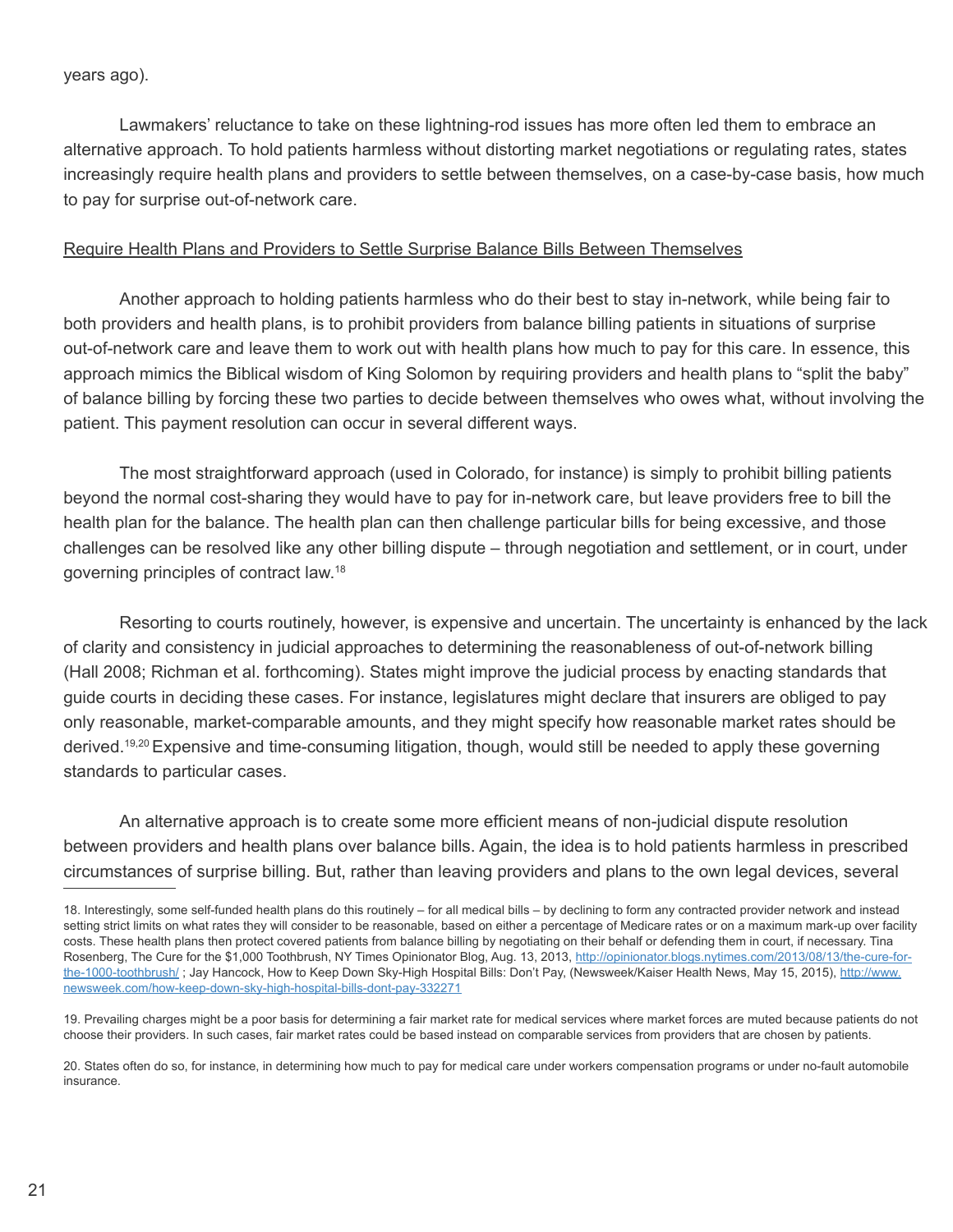Lawmakers' reluctance to take on these lightning-rod issues has more often led them to embrace an alternative approach. To hold patients harmless without distorting market negotiations or regulating rates, states increasingly require health plans and providers to settle between themselves, on a case-by-case basis, how much to pay for surprise out-of-network care.

#### Require Health Plans and Providers to Settle Surprise Balance Bills Between Themselves

Another approach to holding patients harmless who do their best to stay in-network, while being fair to both providers and health plans, is to prohibit providers from balance billing patients in situations of surprise out-of-network care and leave them to work out with health plans how much to pay for this care. In essence, this approach mimics the Biblical wisdom of King Solomon by requiring providers and health plans to "split the baby" of balance billing by forcing these two parties to decide between themselves who owes what, without involving the patient. This payment resolution can occur in several different ways.

The most straightforward approach (used in Colorado, for instance) is simply to prohibit billing patients beyond the normal cost-sharing they would have to pay for in-network care, but leave providers free to bill the health plan for the balance. The health plan can then challenge particular bills for being excessive, and those challenges can be resolved like any other billing dispute – through negotiation and settlement, or in court, under governing principles of contract law.18

Resorting to courts routinely, however, is expensive and uncertain. The uncertainty is enhanced by the lack of clarity and consistency in judicial approaches to determining the reasonableness of out-of-network billing (Hall 2008; Richman et al. forthcoming). States might improve the judicial process by enacting standards that guide courts in deciding these cases. For instance, legislatures might declare that insurers are obliged to pay only reasonable, market-comparable amounts, and they might specify how reasonable market rates should be derived.19,20Expensive and time-consuming litigation, though, would still be needed to apply these governing standards to particular cases.

An alternative approach is to create some more efficient means of non-judicial dispute resolution between providers and health plans over balance bills. Again, the idea is to hold patients harmless in prescribed circumstances of surprise billing. But, rather than leaving providers and plans to the own legal devices, several

<sup>18.</sup> Interestingly, some self-funded health plans do this routinely – for all medical bills – by declining to form any contracted provider network and instead setting strict limits on what rates they will consider to be reasonable, based on either a percentage of Medicare rates or on a maximum mark-up over facility costs. These health plans then protect covered patients from balance billing by negotiating on their behalf or defending them in court, if necessary. Tina Rosenberg, The Cure for the \$1,000 Toothbrush, NY Times Opinionator Blog, Aug. 13, 2013, http://opinionator.blogs.nytimes.com/2013/08/13/the-cure-forthe-1000-toothbrush/ ; Jay Hancock, How to Keep Down Sky-High Hospital Bills: Don't Pay, (Newsweek/Kaiser Health News, May 15, 2015), http://www. newsweek.com/how-keep-down-sky-high-hospital-bills-dont-pay-332271

<sup>19.</sup> Prevailing charges might be a poor basis for determining a fair market rate for medical services where market forces are muted because patients do not choose their providers. In such cases, fair market rates could be based instead on comparable services from providers that are chosen by patients.

<sup>20.</sup> States often do so, for instance, in determining how much to pay for medical care under workers compensation programs or under no-fault automobile insurance.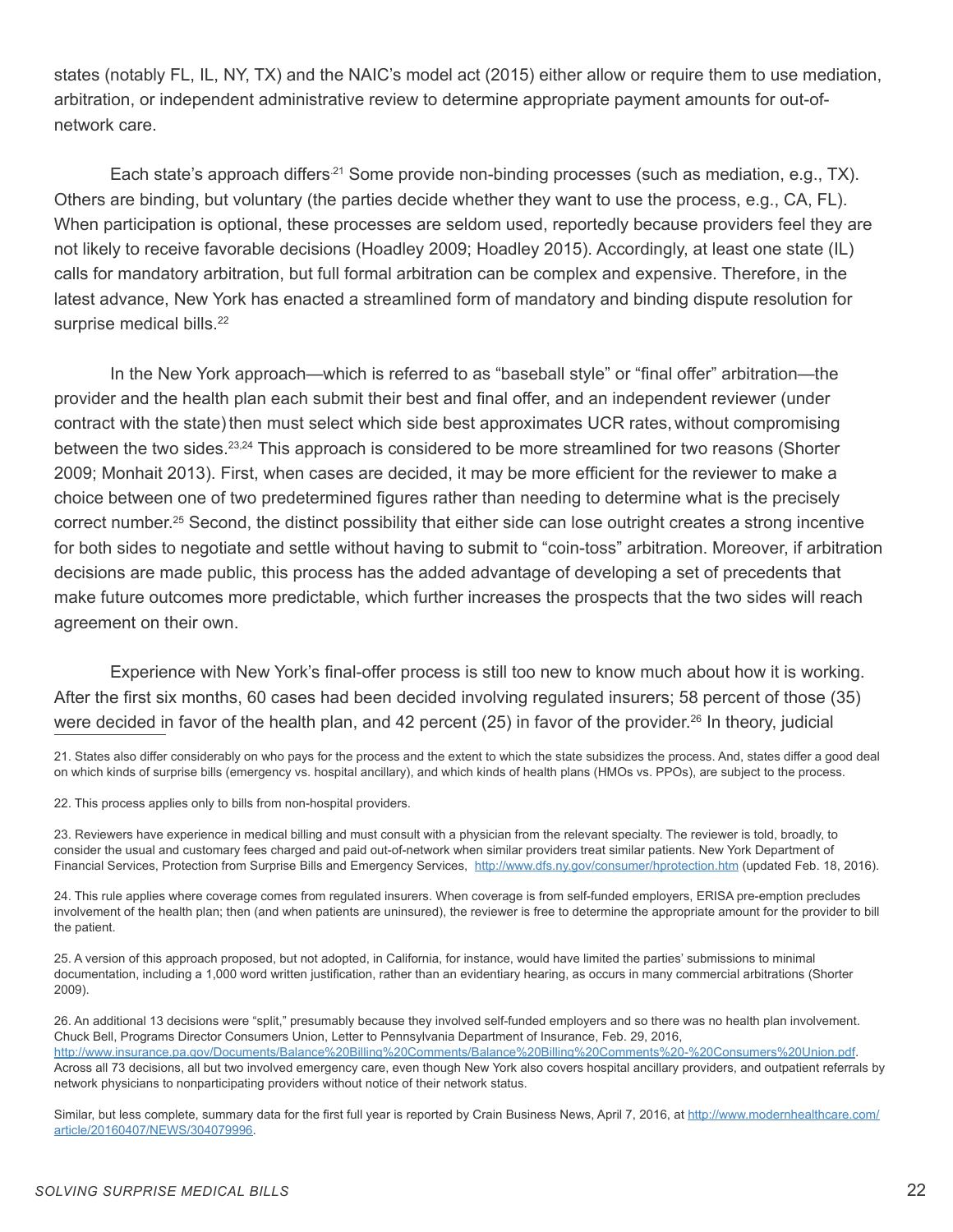states (notably FL, IL, NY, TX) and the NAIC's model act (2015) either allow or require them to use mediation, arbitration, or independent administrative review to determine appropriate payment amounts for out-ofnetwork care.

Each state's approach differs<sup>21</sup> Some provide non-binding processes (such as mediation, e.g., TX). Others are binding, but voluntary (the parties decide whether they want to use the process, e.g., CA, FL). When participation is optional, these processes are seldom used, reportedly because providers feel they are not likely to receive favorable decisions (Hoadley 2009; Hoadley 2015). Accordingly, at least one state (IL) calls for mandatory arbitration, but full formal arbitration can be complex and expensive. Therefore, in the latest advance, New York has enacted a streamlined form of mandatory and binding dispute resolution for surprise medical bills.<sup>22</sup>

In the New York approach—which is referred to as "baseball style" or "final offer" arbitration—the provider and the health plan each submit their best and final offer, and an independent reviewer (under contract with the state) then must select which side best approximates UCR rates, without compromising between the two sides.23,24 This approach is considered to be more streamlined for two reasons (Shorter 2009; Monhait 2013). First, when cases are decided, it may be more efficient for the reviewer to make a choice between one of two predetermined figures rather than needing to determine what is the precisely correct number.<sup>25</sup> Second, the distinct possibility that either side can lose outright creates a strong incentive for both sides to negotiate and settle without having to submit to "coin-toss" arbitration. Moreover, if arbitration decisions are made public, this process has the added advantage of developing a set of precedents that make future outcomes more predictable, which further increases the prospects that the two sides will reach agreement on their own.

Experience with New York's final-offer process is still too new to know much about how it is working. After the first six months, 60 cases had been decided involving regulated insurers; 58 percent of those (35) were decided in favor of the health plan, and 42 percent (25) in favor of the provider.26 In theory, judicial

21. States also differ considerably on who pays for the process and the extent to which the state subsidizes the process. And, states differ a good deal on which kinds of surprise bills (emergency vs. hospital ancillary), and which kinds of health plans (HMOs vs. PPOs), are subject to the process.

22. This process applies only to bills from non-hospital providers.

23. Reviewers have experience in medical billing and must consult with a physician from the relevant specialty. The reviewer is told, broadly, to consider the usual and customary fees charged and paid out-of-network when similar providers treat similar patients. New York Department of Financial Services, Protection from Surprise Bills and Emergency Services, http://www.dfs.ny.gov/consumer/hprotection.htm (updated Feb. 18, 2016).

24. This rule applies where coverage comes from regulated insurers. When coverage is from self-funded employers, ERISA pre-emption precludes involvement of the health plan; then (and when patients are uninsured), the reviewer is free to determine the appropriate amount for the provider to bill the patient.

25. A version of this approach proposed, but not adopted, in California, for instance, would have limited the parties' submissions to minimal documentation, including a 1,000 word written justification, rather than an evidentiary hearing, as occurs in many commercial arbitrations (Shorter 2009).

26. An additional 13 decisions were "split," presumably because they involved self-funded employers and so there was no health plan involvement. Chuck Bell, Programs Director Consumers Union, Letter to Pennsylvania Department of Insurance, Feb. 29, 2016, http://www.insurance.pa.gov/Documents/Balance%20Billing%20Comments/Balance%20Billing%20Comments%20-%20Consumers%20Union.pdf. Across all 73 decisions, all but two involved emergency care, even though New York also covers hospital ancillary providers, and outpatient referrals by network physicians to nonparticipating providers without notice of their network status.

Similar, but less complete, summary data for the first full year is reported by Crain Business News, April 7, 2016, at http://www.modernhealthcare.com/ article/20160407/NEWS/304079996.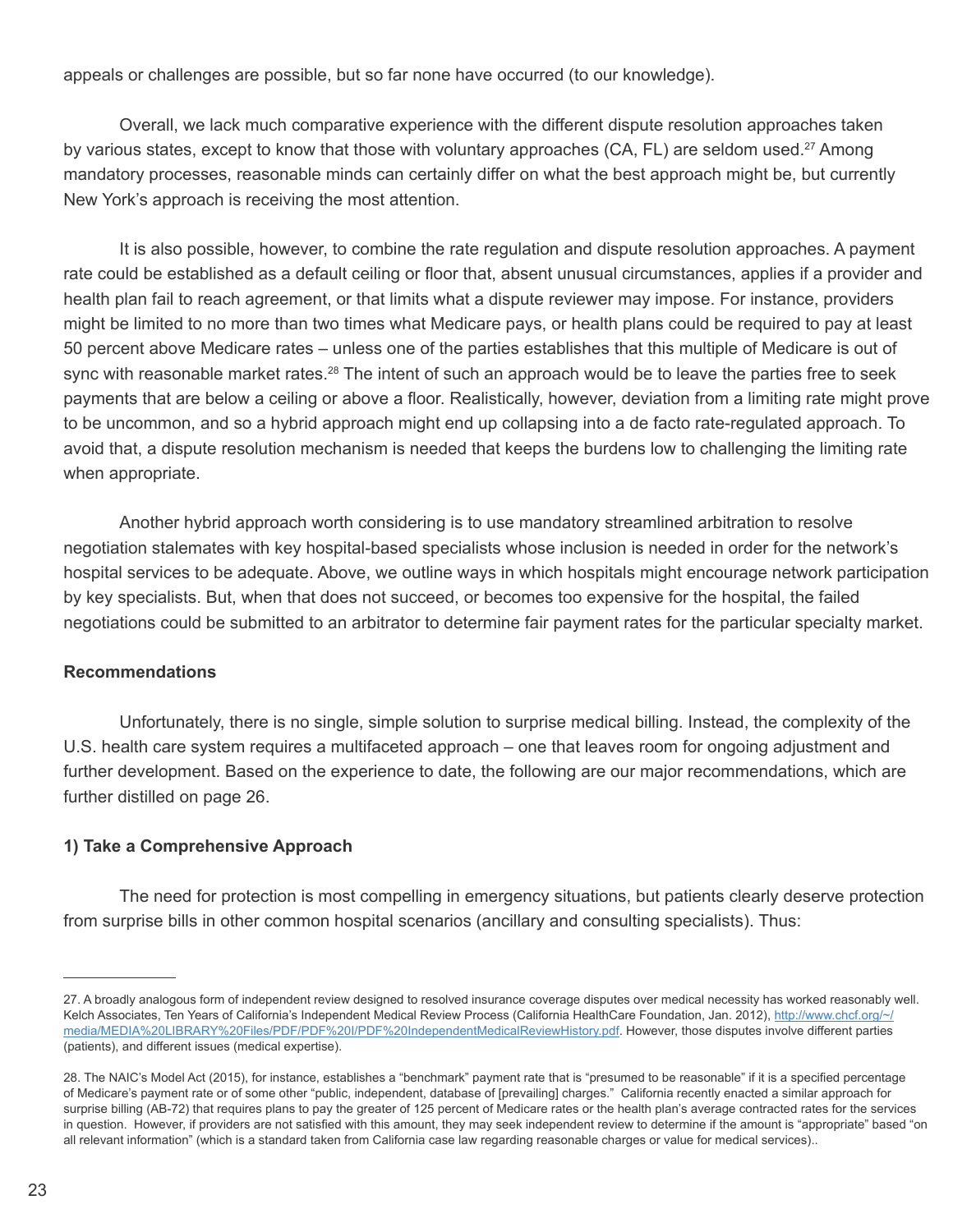appeals or challenges are possible, but so far none have occurred (to our knowledge).

Overall, we lack much comparative experience with the different dispute resolution approaches taken by various states, except to know that those with voluntary approaches (CA, FL) are seldom used.<sup>27</sup> Among mandatory processes, reasonable minds can certainly differ on what the best approach might be, but currently New York's approach is receiving the most attention.

It is also possible, however, to combine the rate regulation and dispute resolution approaches. A payment rate could be established as a default ceiling or floor that, absent unusual circumstances, applies if a provider and health plan fail to reach agreement, or that limits what a dispute reviewer may impose. For instance, providers might be limited to no more than two times what Medicare pays, or health plans could be required to pay at least 50 percent above Medicare rates – unless one of the parties establishes that this multiple of Medicare is out of sync with reasonable market rates.<sup>28</sup> The intent of such an approach would be to leave the parties free to seek payments that are below a ceiling or above a floor. Realistically, however, deviation from a limiting rate might prove to be uncommon, and so a hybrid approach might end up collapsing into a de facto rate-regulated approach. To avoid that, a dispute resolution mechanism is needed that keeps the burdens low to challenging the limiting rate when appropriate.

Another hybrid approach worth considering is to use mandatory streamlined arbitration to resolve negotiation stalemates with key hospital-based specialists whose inclusion is needed in order for the network's hospital services to be adequate. Above, we outline ways in which hospitals might encourage network participation by key specialists. But, when that does not succeed, or becomes too expensive for the hospital, the failed negotiations could be submitted to an arbitrator to determine fair payment rates for the particular specialty market.

#### **Recommendations**

Unfortunately, there is no single, simple solution to surprise medical billing. Instead, the complexity of the U.S. health care system requires a multifaceted approach – one that leaves room for ongoing adjustment and further development. Based on the experience to date, the following are our major recommendations, which are further distilled on page 26.

#### **1) Take a Comprehensive Approach**

The need for protection is most compelling in emergency situations, but patients clearly deserve protection from surprise bills in other common hospital scenarios (ancillary and consulting specialists). Thus:

<sup>27.</sup> A broadly analogous form of independent review designed to resolved insurance coverage disputes over medical necessity has worked reasonably well. Kelch Associates, Ten Years of California's Independent Medical Review Process (California HealthCare Foundation, Jan. 2012), http://www.chcf.org/~/ media/MEDIA%20LIBRARY%20Files/PDF/PDF%20I/PDF%20IndependentMedicalReviewHistory.pdf. However, those disputes involve different parties (patients), and different issues (medical expertise).

<sup>28.</sup> The NAIC's Model Act (2015), for instance, establishes a "benchmark" payment rate that is "presumed to be reasonable" if it is a specified percentage of Medicare's payment rate or of some other "public, independent, database of [prevailing] charges." California recently enacted a similar approach for surprise billing (AB-72) that requires plans to pay the greater of 125 percent of Medicare rates or the health plan's average contracted rates for the services in question. However, if providers are not satisfied with this amount, they may seek independent review to determine if the amount is "appropriate" based "on all relevant information" (which is a standard taken from California case law regarding reasonable charges or value for medical services)..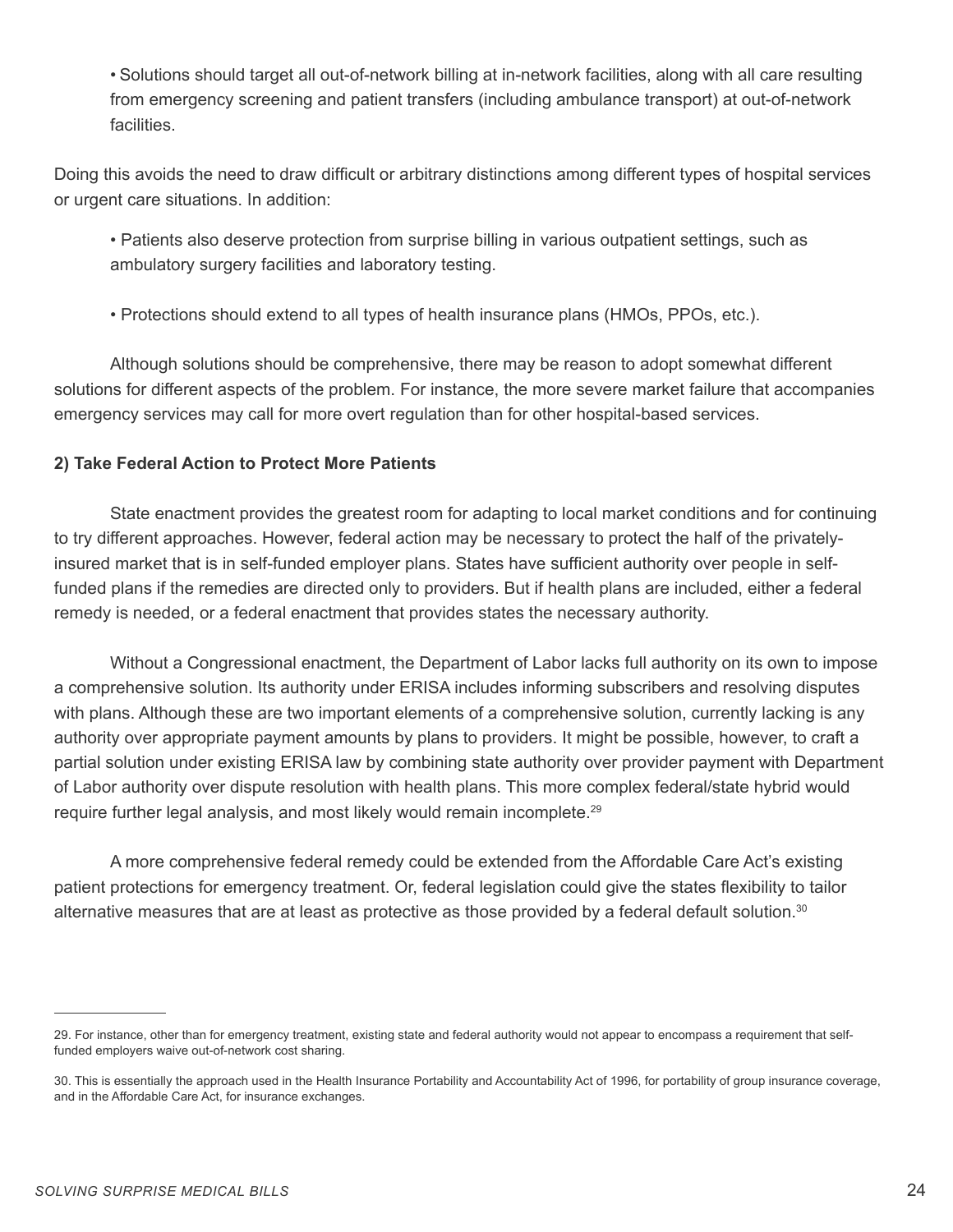• Solutions should target all out-of-network billing at in-network facilities, along with all care resulting from emergency screening and patient transfers (including ambulance transport) at out-of-network facilities.

Doing this avoids the need to draw difficult or arbitrary distinctions among different types of hospital services or urgent care situations. In addition:

- Patients also deserve protection from surprise billing in various outpatient settings, such as ambulatory surgery facilities and laboratory testing.
- Protections should extend to all types of health insurance plans (HMOs, PPOs, etc.).

Although solutions should be comprehensive, there may be reason to adopt somewhat different solutions for different aspects of the problem. For instance, the more severe market failure that accompanies emergency services may call for more overt regulation than for other hospital-based services.

#### **2) Take Federal Action to Protect More Patients**

State enactment provides the greatest room for adapting to local market conditions and for continuing to try different approaches. However, federal action may be necessary to protect the half of the privatelyinsured market that is in self-funded employer plans. States have sufficient authority over people in selffunded plans if the remedies are directed only to providers. But if health plans are included, either a federal remedy is needed, or a federal enactment that provides states the necessary authority.

Without a Congressional enactment, the Department of Labor lacks full authority on its own to impose a comprehensive solution. Its authority under ERISA includes informing subscribers and resolving disputes with plans. Although these are two important elements of a comprehensive solution, currently lacking is any authority over appropriate payment amounts by plans to providers. It might be possible, however, to craft a partial solution under existing ERISA law by combining state authority over provider payment with Department of Labor authority over dispute resolution with health plans. This more complex federal/state hybrid would require further legal analysis, and most likely would remain incomplete.<sup>29</sup>

A more comprehensive federal remedy could be extended from the Affordable Care Act's existing patient protections for emergency treatment. Or, federal legislation could give the states flexibility to tailor alternative measures that are at least as protective as those provided by a federal default solution.30

<sup>29.</sup> For instance, other than for emergency treatment, existing state and federal authority would not appear to encompass a requirement that selffunded employers waive out-of-network cost sharing.

<sup>30.</sup> This is essentially the approach used in the Health Insurance Portability and Accountability Act of 1996, for portability of group insurance coverage, and in the Affordable Care Act, for insurance exchanges.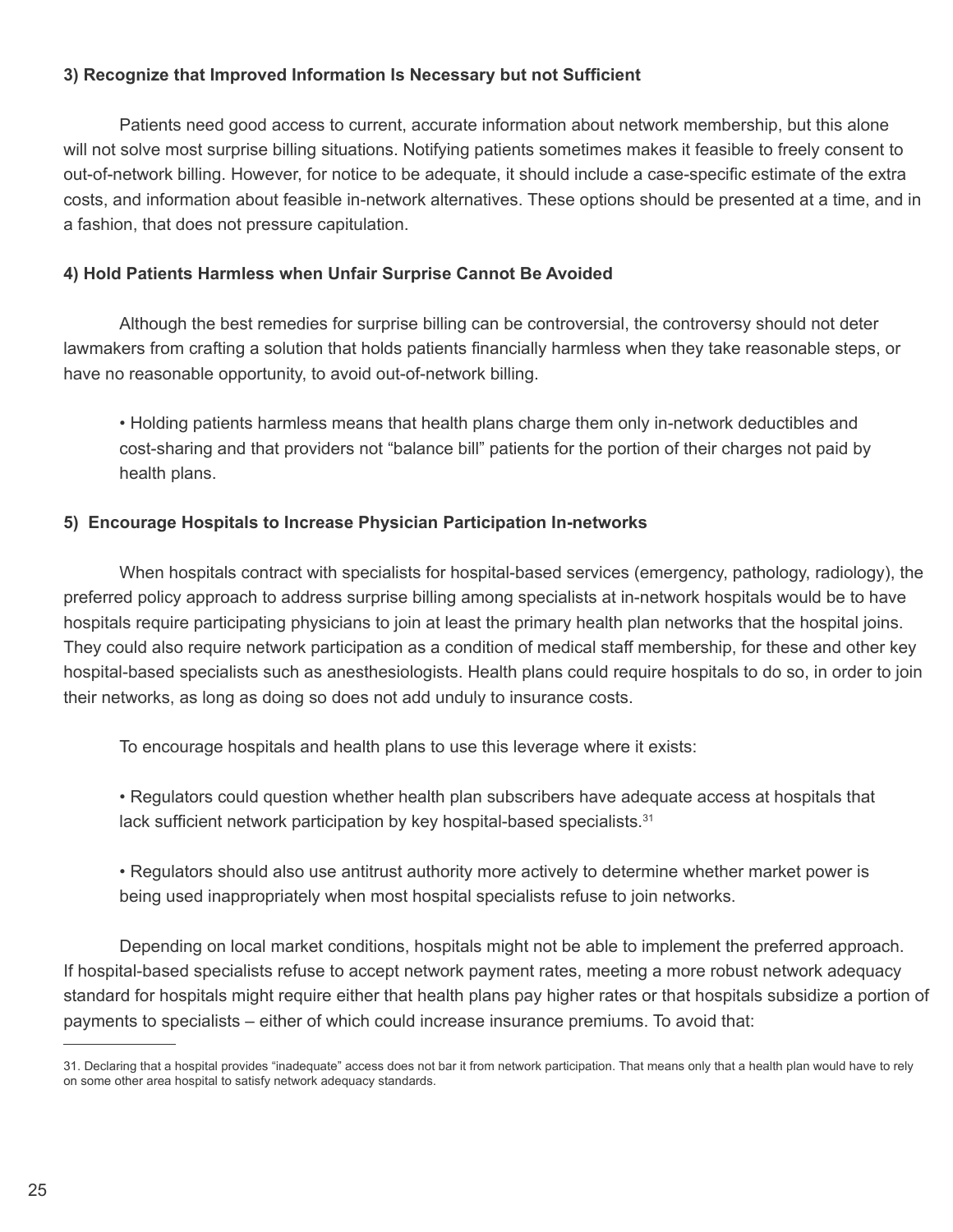#### **3) Recognize that Improved Information Is Necessary but not Sufficient**

Patients need good access to current, accurate information about network membership, but this alone will not solve most surprise billing situations. Notifying patients sometimes makes it feasible to freely consent to out-of-network billing. However, for notice to be adequate, it should include a case-specific estimate of the extra costs, and information about feasible in-network alternatives. These options should be presented at a time, and in a fashion, that does not pressure capitulation.

#### **4) Hold Patients Harmless when Unfair Surprise Cannot Be Avoided**

Although the best remedies for surprise billing can be controversial, the controversy should not deter lawmakers from crafting a solution that holds patients financially harmless when they take reasonable steps, or have no reasonable opportunity, to avoid out-of-network billing.

• Holding patients harmless means that health plans charge them only in-network deductibles and cost-sharing and that providers not "balance bill" patients for the portion of their charges not paid by health plans.

#### **5) Encourage Hospitals to Increase Physician Participation In-networks**

When hospitals contract with specialists for hospital-based services (emergency, pathology, radiology), the preferred policy approach to address surprise billing among specialists at in-network hospitals would be to have hospitals require participating physicians to join at least the primary health plan networks that the hospital joins. They could also require network participation as a condition of medical staff membership, for these and other key hospital-based specialists such as anesthesiologists. Health plans could require hospitals to do so, in order to join their networks, as long as doing so does not add unduly to insurance costs.

To encourage hospitals and health plans to use this leverage where it exists:

• Regulators could question whether health plan subscribers have adequate access at hospitals that lack sufficient network participation by key hospital-based specialists.<sup>31</sup>

• Regulators should also use antitrust authority more actively to determine whether market power is being used inappropriately when most hospital specialists refuse to join networks.

Depending on local market conditions, hospitals might not be able to implement the preferred approach. If hospital-based specialists refuse to accept network payment rates, meeting a more robust network adequacy standard for hospitals might require either that health plans pay higher rates or that hospitals subsidize a portion of payments to specialists – either of which could increase insurance premiums. To avoid that:

<sup>31.</sup> Declaring that a hospital provides "inadequate" access does not bar it from network participation. That means only that a health plan would have to rely on some other area hospital to satisfy network adequacy standards.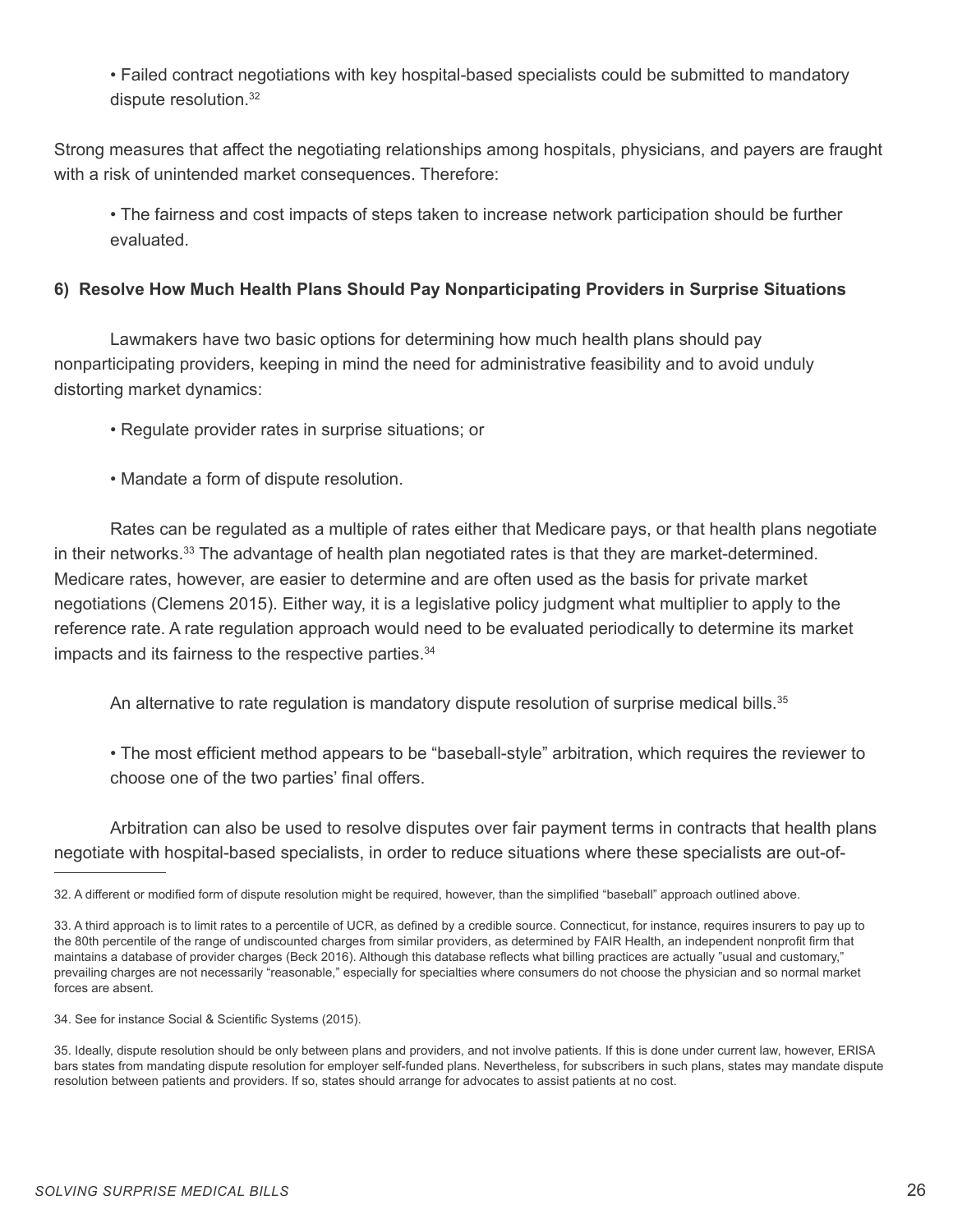• Failed contract negotiations with key hospital-based specialists could be submitted to mandatory dispute resolution.32

Strong measures that affect the negotiating relationships among hospitals, physicians, and payers are fraught with a risk of unintended market consequences. Therefore:

• The fairness and cost impacts of steps taken to increase network participation should be further evaluated.

#### **6) Resolve How Much Health Plans Should Pay Nonparticipating Providers in Surprise Situations**

Lawmakers have two basic options for determining how much health plans should pay nonparticipating providers, keeping in mind the need for administrative feasibility and to avoid unduly distorting market dynamics:

• Regulate provider rates in surprise situations; or

• Mandate a form of dispute resolution.

Rates can be regulated as a multiple of rates either that Medicare pays, or that health plans negotiate in their networks.<sup>33</sup> The advantage of health plan negotiated rates is that they are market-determined. Medicare rates, however, are easier to determine and are often used as the basis for private market negotiations (Clemens 2015). Either way, it is a legislative policy judgment what multiplier to apply to the reference rate. A rate regulation approach would need to be evaluated periodically to determine its market impacts and its fairness to the respective parties.<sup>34</sup>

An alternative to rate regulation is mandatory dispute resolution of surprise medical bills.<sup>35</sup>

• The most efficient method appears to be "baseball-style" arbitration, which requires the reviewer to choose one of the two parties' final offers.

Arbitration can also be used to resolve disputes over fair payment terms in contracts that health plans negotiate with hospital-based specialists, in order to reduce situations where these specialists are out-of-

<sup>32.</sup> A different or modified form of dispute resolution might be required, however, than the simplified "baseball" approach outlined above.

<sup>33.</sup> A third approach is to limit rates to a percentile of UCR, as defined by a credible source. Connecticut, for instance, requires insurers to pay up to the 80th percentile of the range of undiscounted charges from similar providers, as determined by FAIR Health, an independent nonprofit firm that maintains a database of provider charges (Beck 2016). Although this database reflects what billing practices are actually "usual and customary," prevailing charges are not necessarily "reasonable," especially for specialties where consumers do not choose the physician and so normal market forces are absent.

<sup>34.</sup> See for instance Social & Scientific Systems (2015).

<sup>35.</sup> Ideally, dispute resolution should be only between plans and providers, and not involve patients. If this is done under current law, however, ERISA bars states from mandating dispute resolution for employer self-funded plans. Nevertheless, for subscribers in such plans, states may mandate dispute resolution between patients and providers. If so, states should arrange for advocates to assist patients at no cost.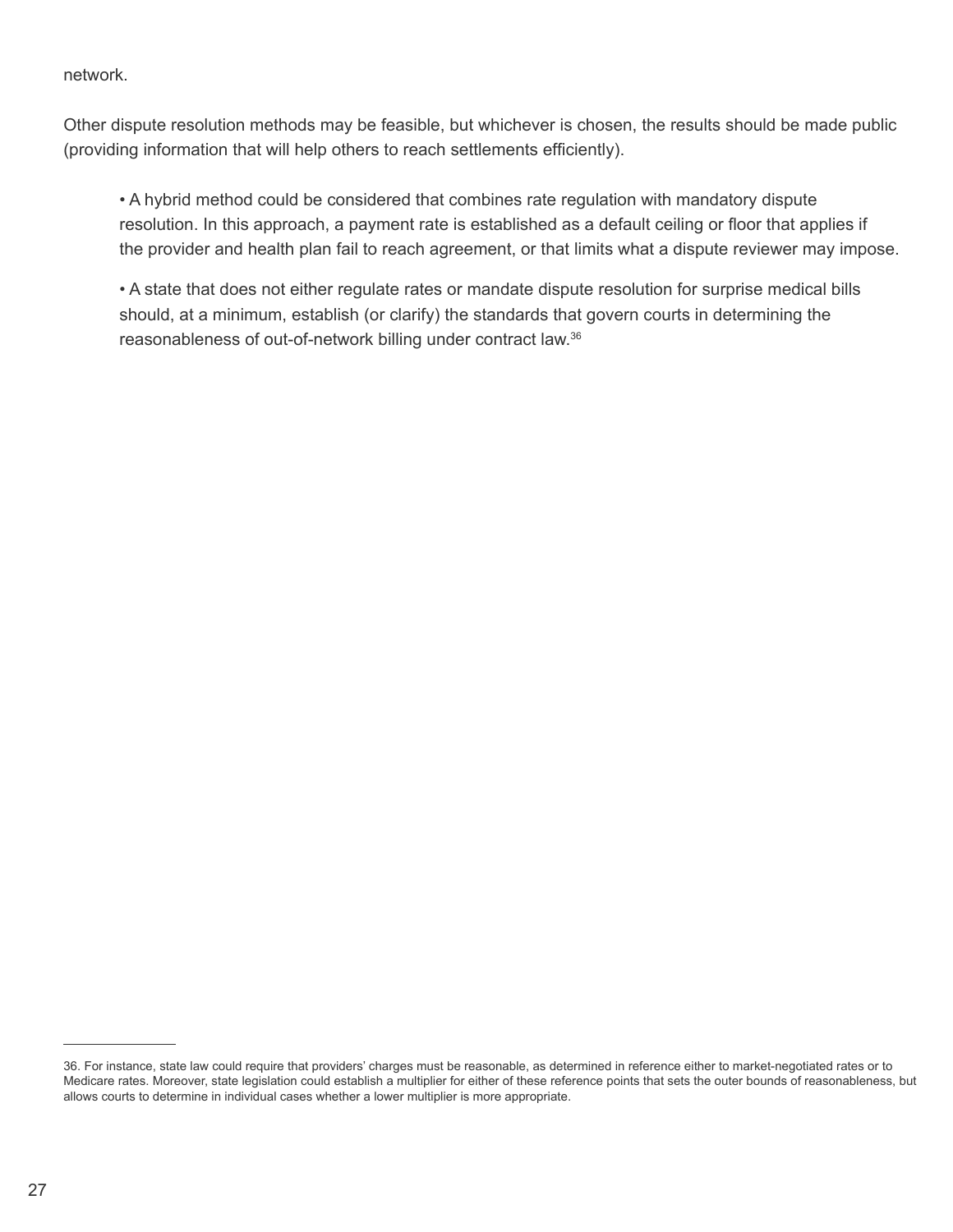#### network.

Other dispute resolution methods may be feasible, but whichever is chosen, the results should be made public (providing information that will help others to reach settlements efficiently).

• A hybrid method could be considered that combines rate regulation with mandatory dispute resolution. In this approach, a payment rate is established as a default ceiling or floor that applies if the provider and health plan fail to reach agreement, or that limits what a dispute reviewer may impose.

• A state that does not either regulate rates or mandate dispute resolution for surprise medical bills should, at a minimum, establish (or clarify) the standards that govern courts in determining the reasonableness of out-of-network billing under contract law.36

<sup>36.</sup> For instance, state law could require that providers' charges must be reasonable, as determined in reference either to market-negotiated rates or to Medicare rates. Moreover, state legislation could establish a multiplier for either of these reference points that sets the outer bounds of reasonableness, but allows courts to determine in individual cases whether a lower multiplier is more appropriate.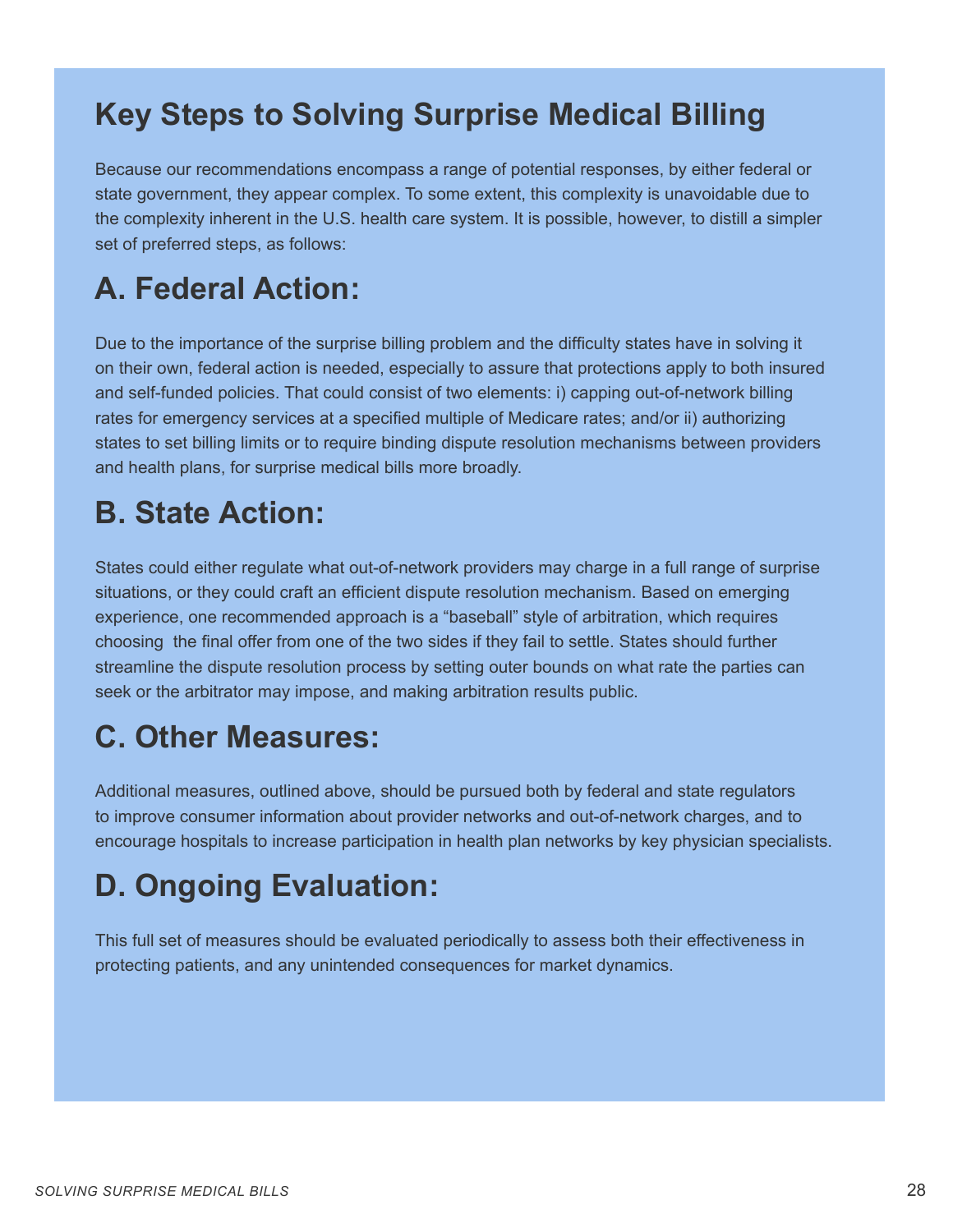### **Key Steps to Solving Surprise Medical Billing**

Because our recommendations encompass a range of potential responses, by either federal or state government, they appear complex. To some extent, this complexity is unavoidable due to the complexity inherent in the U.S. health care system. It is possible, however, to distill a simpler set of preferred steps, as follows:

## **A. Federal Action:**

Due to the importance of the surprise billing problem and the difficulty states have in solving it on their own, federal action is needed, especially to assure that protections apply to both insured and self-funded policies. That could consist of two elements: i) capping out-of-network billing rates for emergency services at a specified multiple of Medicare rates; and/or ii) authorizing states to set billing limits or to require binding dispute resolution mechanisms between providers and health plans, for surprise medical bills more broadly.

### **B. State Action:**

States could either regulate what out-of-network providers may charge in a full range of surprise situations, or they could craft an efficient dispute resolution mechanism. Based on emerging experience, one recommended approach is a "baseball" style of arbitration, which requires choosing the final offer from one of the two sides if they fail to settle. States should further streamline the dispute resolution process by setting outer bounds on what rate the parties can seek or the arbitrator may impose, and making arbitration results public.

### **C. Other Measures:**

Additional measures, outlined above, should be pursued both by federal and state regulators to improve consumer information about provider networks and out-of-network charges, and to encourage hospitals to increase participation in health plan networks by key physician specialists.

## **D. Ongoing Evaluation:**

This full set of measures should be evaluated periodically to assess both their effectiveness in protecting patients, and any unintended consequences for market dynamics.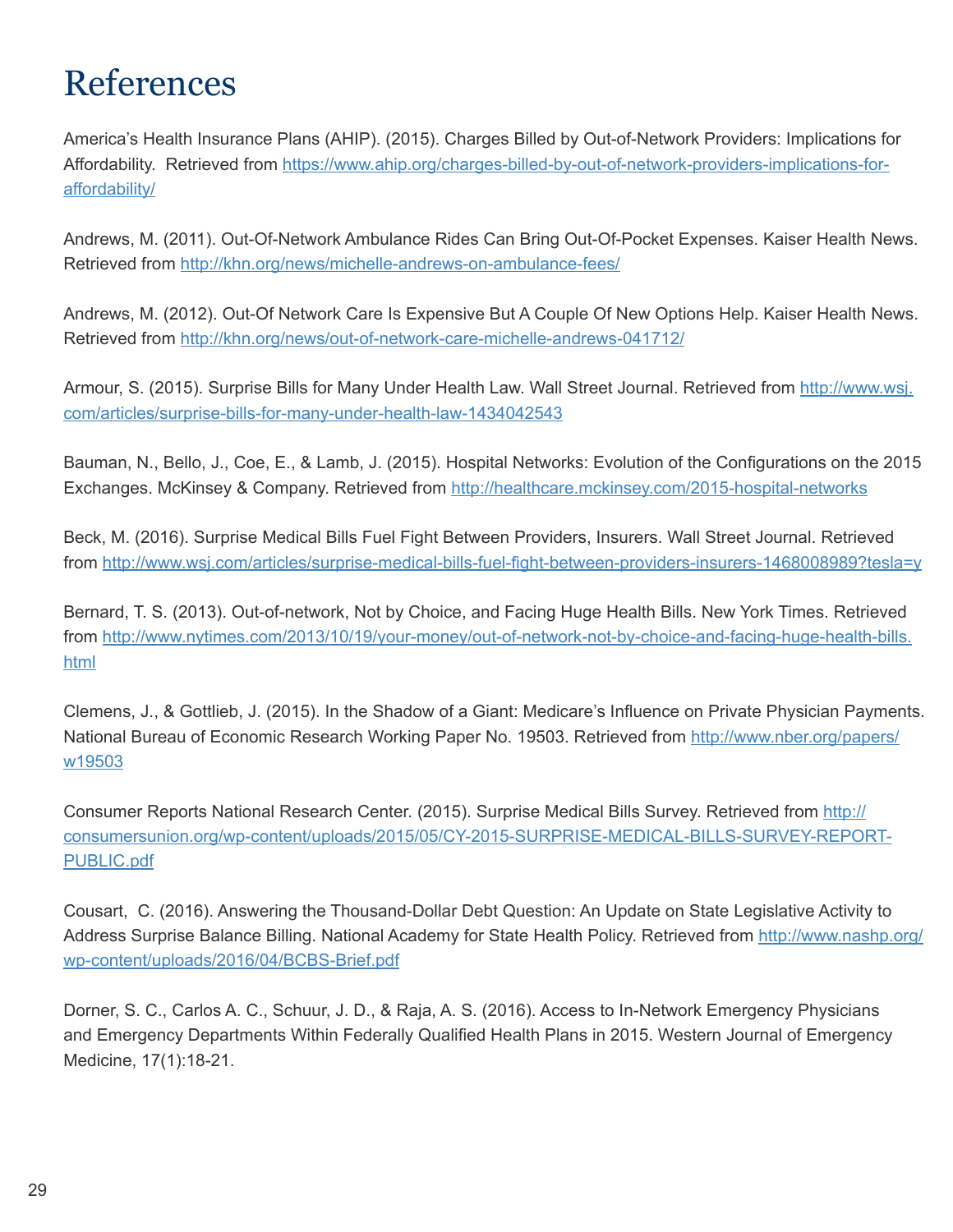# References

America's Health Insurance Plans (AHIP). (2015). Charges Billed by Out-of-Network Providers: Implications for Affordability. Retrieved from https://www.ahip.org/charges-billed-by-out-of-network-providers-implications-foraffordability/

Andrews, M. (2011). Out-Of-Network Ambulance Rides Can Bring Out-Of-Pocket Expenses. Kaiser Health News. Retrieved from http://khn.org/news/michelle-andrews-on-ambulance-fees/

Andrews, M. (2012). Out-Of Network Care Is Expensive But A Couple Of New Options Help. Kaiser Health News. Retrieved from http://khn.org/news/out-of-network-care-michelle-andrews-041712/

Armour, S. (2015). Surprise Bills for Many Under Health Law. Wall Street Journal. Retrieved from http://www.wsj. com/articles/surprise-bills-for-many-under-health-law-1434042543

Bauman, N., Bello, J., Coe, E., & Lamb, J. (2015). Hospital Networks: Evolution of the Configurations on the 2015 Exchanges. McKinsey & Company. Retrieved from http://healthcare.mckinsey.com/2015-hospital-networks

Beck, M. (2016). Surprise Medical Bills Fuel Fight Between Providers, Insurers. Wall Street Journal. Retrieved from http://www.wsj.com/articles/surprise-medical-bills-fuel-fight-between-providers-insurers-1468008989?tesla=y

Bernard, T. S. (2013). Out-of-network, Not by Choice, and Facing Huge Health Bills. New York Times. Retrieved from http://www.nytimes.com/2013/10/19/your-money/out-of-network-not-by-choice-and-facing-huge-health-bills. html

Clemens, J., & Gottlieb, J. (2015). In the Shadow of a Giant: Medicare's Influence on Private Physician Payments. National Bureau of Economic Research Working Paper No. 19503. Retrieved from http://www.nber.org/papers/ w19503

Consumer Reports National Research Center. (2015). Surprise Medical Bills Survey. Retrieved from http:// consumersunion.org/wp-content/uploads/2015/05/CY-2015-SURPRISE-MEDICAL-BILLS-SURVEY-REPORT-PUBLIC.pdf

Cousart, C. (2016). Answering the Thousand-Dollar Debt Question: An Update on State Legislative Activity to Address Surprise Balance Billing. National Academy for State Health Policy. Retrieved from http://www.nashp.org/ wp-content/uploads/2016/04/BCBS-Brief.pdf

Dorner, S. C., Carlos A. C., Schuur, J. D., & Raja, A. S. (2016). Access to In-Network Emergency Physicians and Emergency Departments Within Federally Qualified Health Plans in 2015. Western Journal of Emergency Medicine, 17(1):18-21.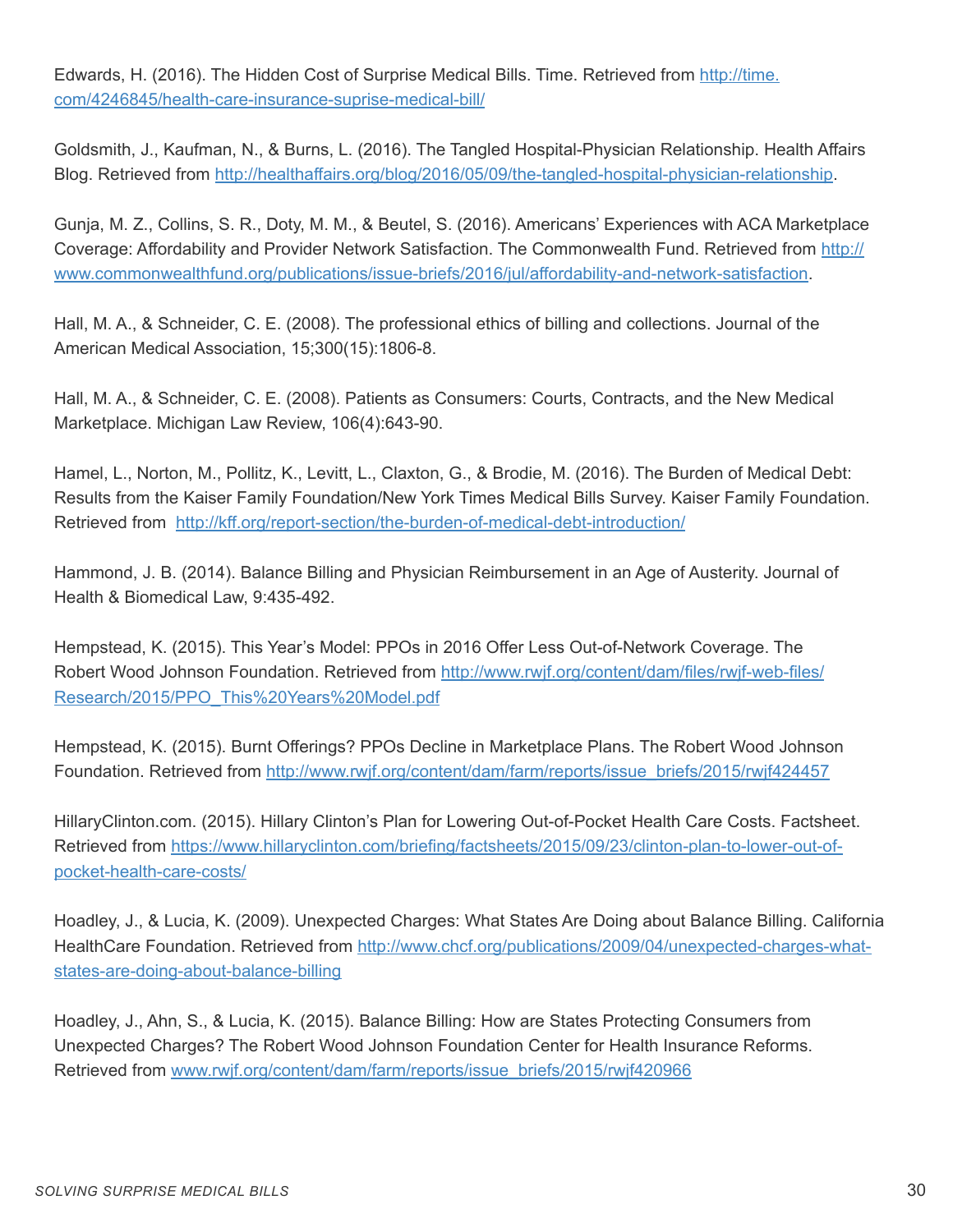Edwards, H. (2016). The Hidden Cost of Surprise Medical Bills. Time. Retrieved from http://time. com/4246845/health-care-insurance-suprise-medical-bill/

Goldsmith, J., Kaufman, N., & Burns, L. (2016). The Tangled Hospital-Physician Relationship. Health Affairs Blog. Retrieved from http://healthaffairs.org/blog/2016/05/09/the-tangled-hospital-physician-relationship.

Gunja, M. Z., Collins, S. R., Doty, M. M., & Beutel, S. (2016). Americans' Experiences with ACA Marketplace Coverage: Affordability and Provider Network Satisfaction. The Commonwealth Fund. Retrieved from http:// www.commonwealthfund.org/publications/issue-briefs/2016/jul/affordability-and-network-satisfaction.

Hall, M. A., & Schneider, C. E. (2008). The professional ethics of billing and collections. Journal of the American Medical Association, 15;300(15):1806-8.

Hall, M. A., & Schneider, C. E. (2008). Patients as Consumers: Courts, Contracts, and the New Medical Marketplace. Michigan Law Review, 106(4):643-90.

Hamel, L., Norton, M., Pollitz, K., Levitt, L., Claxton, G., & Brodie, M. (2016). The Burden of Medical Debt: Results from the Kaiser Family Foundation/New York Times Medical Bills Survey. Kaiser Family Foundation. Retrieved from http://kff.org/report-section/the-burden-of-medical-debt-introduction/

Hammond, J. B. (2014). Balance Billing and Physician Reimbursement in an Age of Austerity. Journal of Health & Biomedical Law, 9:435-492.

Hempstead, K. (2015). This Year's Model: PPOs in 2016 Offer Less Out-of-Network Coverage. The Robert Wood Johnson Foundation. Retrieved from http://www.rwjf.org/content/dam/files/rwjf-web-files/ Research/2015/PPO\_This%20Years%20Model.pdf

Hempstead, K. (2015). Burnt Offerings? PPOs Decline in Marketplace Plans. The Robert Wood Johnson Foundation. Retrieved from http://www.rwjf.org/content/dam/farm/reports/issue\_briefs/2015/rwjf424457

HillaryClinton.com. (2015). Hillary Clinton's Plan for Lowering Out-of-Pocket Health Care Costs. Factsheet. Retrieved from https://www.hillaryclinton.com/briefing/factsheets/2015/09/23/clinton-plan-to-lower-out-ofpocket-health-care-costs/

Hoadley, J., & Lucia, K. (2009). Unexpected Charges: What States Are Doing about Balance Billing. California HealthCare Foundation. Retrieved from http://www.chcf.org/publications/2009/04/unexpected-charges-whatstates-are-doing-about-balance-billing

Hoadley, J., Ahn, S., & Lucia, K. (2015). Balance Billing: How are States Protecting Consumers from Unexpected Charges? The Robert Wood Johnson Foundation Center for Health Insurance Reforms. Retrieved from www.rwjf.org/content/dam/farm/reports/issue\_briefs/2015/rwjf420966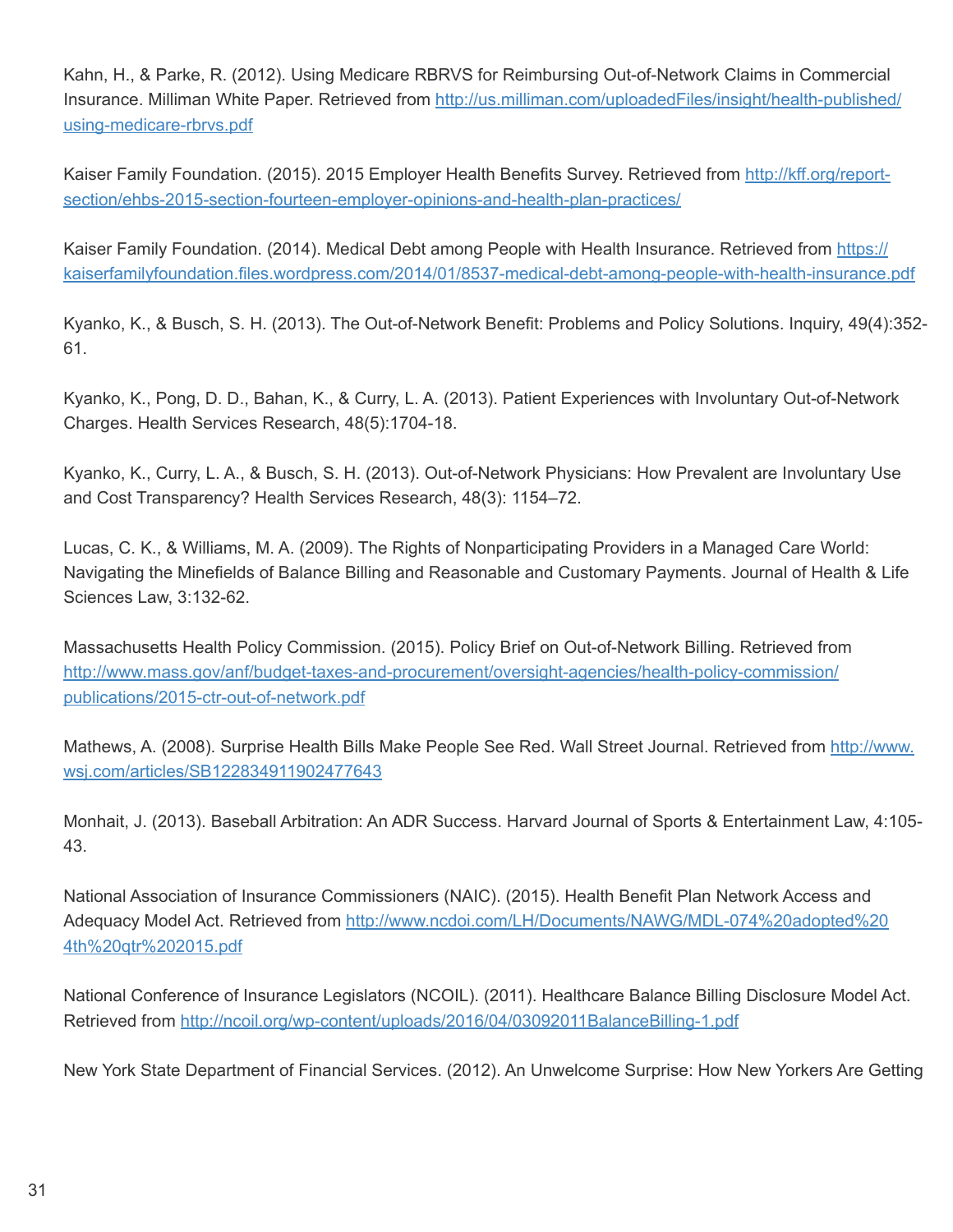Kahn, H., & Parke, R. (2012). Using Medicare RBRVS for Reimbursing Out-of-Network Claims in Commercial Insurance. Milliman White Paper. Retrieved from http://us.milliman.com/uploadedFiles/insight/health-published/ using-medicare-rbrvs.pdf

Kaiser Family Foundation. (2015). 2015 Employer Health Benefits Survey. Retrieved from http://kff.org/reportsection/ehbs-2015-section-fourteen-employer-opinions-and-health-plan-practices/

Kaiser Family Foundation. (2014). Medical Debt among People with Health Insurance. Retrieved from https:// kaiserfamilyfoundation.files.wordpress.com/2014/01/8537-medical-debt-among-people-with-health-insurance.pdf

Kyanko, K., & Busch, S. H. (2013). The Out-of-Network Benefit: Problems and Policy Solutions. Inquiry, 49(4):352- 61.

Kyanko, K., Pong, D. D., Bahan, K., & Curry, L. A. (2013). Patient Experiences with Involuntary Out-of-Network Charges. Health Services Research, 48(5):1704-18.

Kyanko, K., Curry, L. A., & Busch, S. H. (2013). Out-of-Network Physicians: How Prevalent are Involuntary Use and Cost Transparency? Health Services Research, 48(3): 1154–72.

Lucas, C. K., & Williams, M. A. (2009). The Rights of Nonparticipating Providers in a Managed Care World: Navigating the Minefields of Balance Billing and Reasonable and Customary Payments. Journal of Health & Life Sciences Law, 3:132-62.

Massachusetts Health Policy Commission. (2015). Policy Brief on Out-of-Network Billing. Retrieved from http://www.mass.gov/anf/budget-taxes-and-procurement/oversight-agencies/health-policy-commission/ publications/2015-ctr-out-of-network.pdf

Mathews, A. (2008). Surprise Health Bills Make People See Red. Wall Street Journal. Retrieved from http://www. wsj.com/articles/SB122834911902477643

Monhait, J. (2013). Baseball Arbitration: An ADR Success. Harvard Journal of Sports & Entertainment Law, 4:105- 43.

National Association of Insurance Commissioners (NAIC). (2015). Health Benefit Plan Network Access and Adequacy Model Act. Retrieved from http://www.ncdoi.com/LH/Documents/NAWG/MDL-074%20adopted%20 4th%20qtr%202015.pdf

National Conference of Insurance Legislators (NCOIL). (2011). Healthcare Balance Billing Disclosure Model Act. Retrieved from http://ncoil.org/wp-content/uploads/2016/04/03092011BalanceBilling-1.pdf

New York State Department of Financial Services. (2012). An Unwelcome Surprise: How New Yorkers Are Getting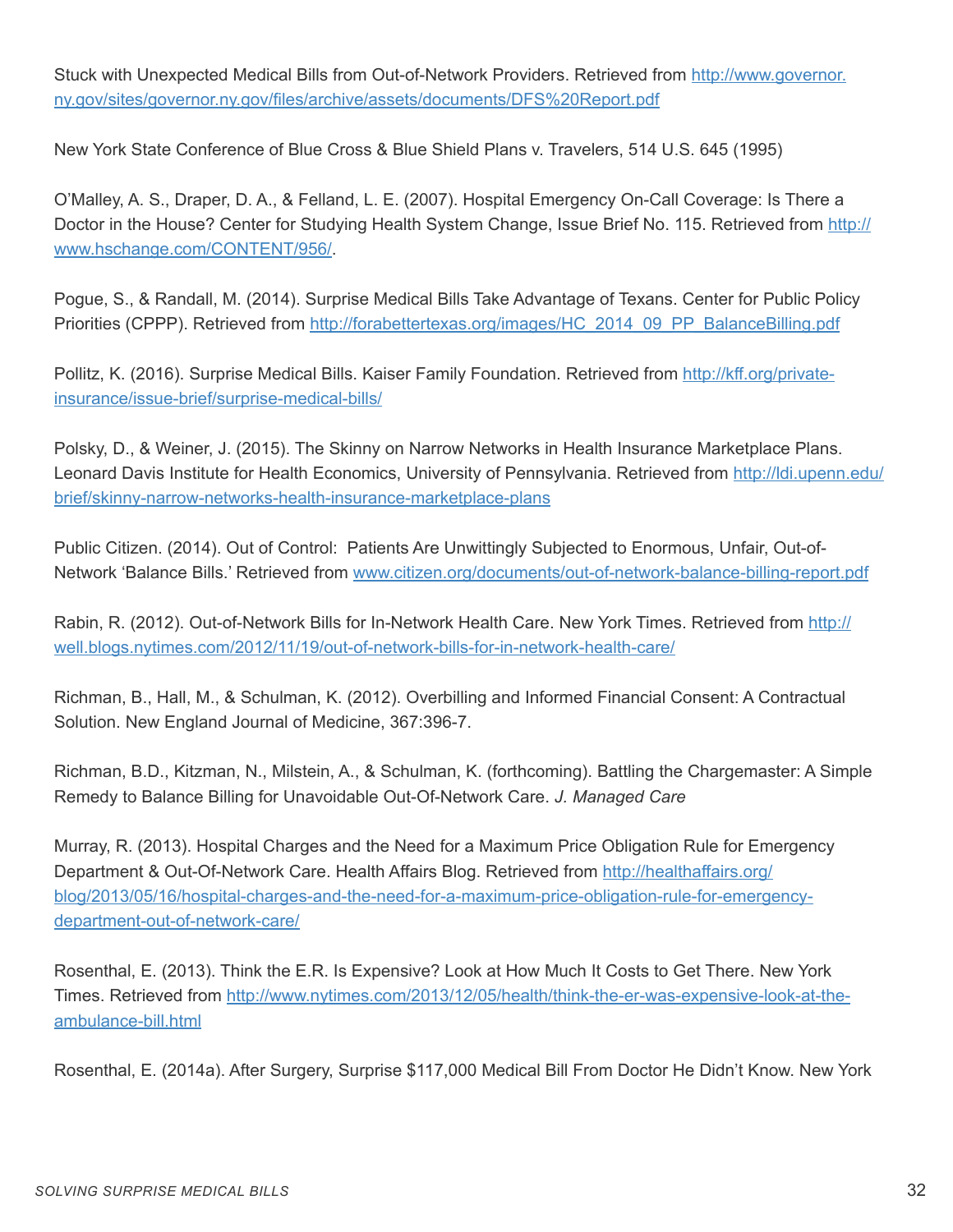Stuck with Unexpected Medical Bills from Out-of-Network Providers. Retrieved from http://www.governor. ny.gov/sites/governor.ny.gov/files/archive/assets/documents/DFS%20Report.pdf

New York State Conference of Blue Cross & Blue Shield Plans v. Travelers, 514 U.S. 645 (1995)

O'Malley, A. S., Draper, D. A., & Felland, L. E. (2007). Hospital Emergency On-Call Coverage: Is There a Doctor in the House? Center for Studying Health System Change, Issue Brief No. 115. Retrieved from http:// www.hschange.com/CONTENT/956/.

Pogue, S., & Randall, M. (2014). Surprise Medical Bills Take Advantage of Texans. Center for Public Policy Priorities (CPPP). Retrieved from http://forabettertexas.org/images/HC\_2014\_09\_PP\_BalanceBilling.pdf

Pollitz, K. (2016). Surprise Medical Bills. Kaiser Family Foundation. Retrieved from http://kff.org/privateinsurance/issue-brief/surprise-medical-bills/

Polsky, D., & Weiner, J. (2015). The Skinny on Narrow Networks in Health Insurance Marketplace Plans. Leonard Davis Institute for Health Economics, University of Pennsylvania. Retrieved from http://ldi.upenn.edu/ brief/skinny-narrow-networks-health-insurance-marketplace-plans

Public Citizen. (2014). Out of Control: Patients Are Unwittingly Subjected to Enormous, Unfair, Out-of-Network 'Balance Bills.' Retrieved from www.citizen.org/documents/out-of-network-balance-billing-report.pdf

Rabin, R. (2012). Out-of-Network Bills for In-Network Health Care. New York Times. Retrieved from http:// well.blogs.nytimes.com/2012/11/19/out-of-network-bills-for-in-network-health-care/

Richman, B., Hall, M., & Schulman, K. (2012). Overbilling and Informed Financial Consent: A Contractual Solution. New England Journal of Medicine, 367:396-7.

Richman, B.D., Kitzman, N., Milstein, A., & Schulman, K. (forthcoming). Battling the Chargemaster: A Simple Remedy to Balance Billing for Unavoidable Out-Of-Network Care. *J. Managed Care*

Murray, R. (2013). Hospital Charges and the Need for a Maximum Price Obligation Rule for Emergency Department & Out-Of-Network Care. Health Affairs Blog. Retrieved from http://healthaffairs.org/ blog/2013/05/16/hospital-charges-and-the-need-for-a-maximum-price-obligation-rule-for-emergencydepartment-out-of-network-care/

Rosenthal, E. (2013). Think the E.R. Is Expensive? Look at How Much It Costs to Get There. New York Times. Retrieved from http://www.nytimes.com/2013/12/05/health/think-the-er-was-expensive-look-at-theambulance-bill.html

Rosenthal, E. (2014a). After Surgery, Surprise \$117,000 Medical Bill From Doctor He Didn't Know. New York